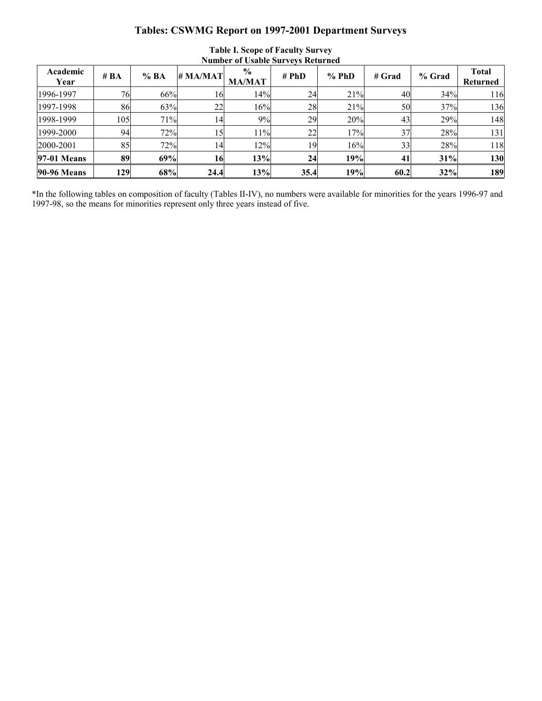## **Tables: CSWMG Report on 1997-2001 Department Surveys**

| Academic<br>Year   | # $BA$ | %BA | # MA/MAT | $\frac{0}{0}$<br><b>MA/MAT</b> | # PhD | $%$ PhD | # Grad | % Grad | <b>Total</b><br>Returned |
|--------------------|--------|-----|----------|--------------------------------|-------|---------|--------|--------|--------------------------|
| 1996-1997          | 76     | 66% | 16       | 14%                            | 24    | 21%     | 40     | 34%    | 116                      |
| 1997-1998          | 86     | 63% | 22       | 16%                            | 28    | 21%     | 50     | 37%    | 136                      |
| 1998-1999          | 105    | 71% | 14       | 9%                             | 29    | 20%     | 43     | 29%    | 148                      |
| 1999-2000          | 94     | 72% | 15       | 11%                            | 22    | 17%     | 37     | 28%    | 131                      |
| 2000-2001          | 85     | 72% | 14       | 12%                            | 19    | 16%     | 33     | 28%    | 118                      |
| <b>97-01 Means</b> | 89     | 69% | 16       | 13%                            | 24    | 19%     | 41     | 31%    | 130                      |
| <b>90-96 Means</b> | 129    | 68% | 24.4     | 13%                            | 35.4  | 19%     | 60.2   | 32%    | 189                      |

## **Table I. Scope of Faculty Survey Number of Usable Surveys Returned**

\*In the following tables on composition of faculty (Tables II-IV), no numbers were available for minorities for the years 1996-97 and 1997-98, so the means for minorities represent only three years instead of five.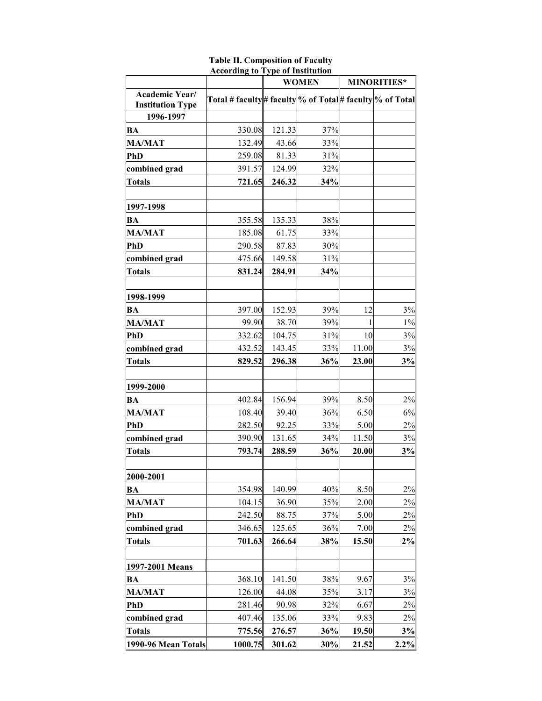|                                           | <b>According to Type of Institution</b>                 |        |              |                    |       |  |
|-------------------------------------------|---------------------------------------------------------|--------|--------------|--------------------|-------|--|
|                                           |                                                         |        | <b>WOMEN</b> | <b>MINORITIES*</b> |       |  |
| Academic Year/<br><b>Institution Type</b> | Total # faculty# faculty % of Total# faculty % of Total |        |              |                    |       |  |
| 1996-1997                                 |                                                         |        |              |                    |       |  |
| BA                                        | 330.08                                                  | 121.33 | 37%          |                    |       |  |
| <b>MA/MAT</b>                             | 132.49                                                  | 43.66  | 33%          |                    |       |  |
| <b>PhD</b>                                | 259.08                                                  | 81.33  | 31%          |                    |       |  |
| combined grad                             | 391.57                                                  | 124.99 | 32%          |                    |       |  |
| <b>Totals</b>                             | 721.65                                                  | 246.32 | 34%          |                    |       |  |
| 1997-1998                                 |                                                         |        |              |                    |       |  |
| BA                                        | 355.58                                                  | 135.33 | 38%          |                    |       |  |
| <b>MA/MAT</b>                             | 185.08                                                  | 61.75  | 33%          |                    |       |  |
| PhD                                       | 290.58                                                  | 87.83  | 30%          |                    |       |  |
| combined grad                             | 475.66                                                  | 149.58 | 31%          |                    |       |  |
| <b>Totals</b>                             | 831.24                                                  | 284.91 | 34%          |                    |       |  |
| 1998-1999                                 |                                                         |        |              |                    |       |  |
| <b>BA</b>                                 | 397.00                                                  | 152.93 | 39%          | 12                 | 3%    |  |
| <b>MA/MAT</b>                             | 99.90                                                   | 38.70  | 39%          |                    | $1\%$ |  |
| <b>PhD</b>                                | 332.62                                                  | 104.75 | 31%          | 10                 | 3%    |  |
| combined grad                             | 432.52                                                  | 143.45 | 33%          | 11.00              | 3%    |  |
| <b>Totals</b>                             | 829.52                                                  | 296.38 | 36%          | 23.00              | 3%    |  |
| 1999-2000                                 |                                                         |        |              |                    |       |  |
| <b>BA</b>                                 | 402.84                                                  | 156.94 | 39%          | 8.50               | 2%    |  |
| <b>MA/MAT</b>                             | 108.40                                                  | 39.40  | 36%          | 6.50               | 6%    |  |
| <b>PhD</b>                                | 282.50                                                  | 92.25  | 33%          | 5.00               | 2%    |  |
| combined grad                             | 390.90                                                  | 131.65 | 34%          | 11.50              | 3%    |  |
| <b>Totals</b>                             | 793.74                                                  | 288.59 | 36%          | 20.00              | 3%    |  |
| 2000-2001                                 |                                                         |        |              |                    |       |  |
| <b>BA</b>                                 | 354.98                                                  | 140.99 | 40%          | 8.50               | 2%    |  |
| <b>MA/MAT</b>                             | 104.15                                                  | 36.90  | 35%          | 2.00               | 2%    |  |
| <b>PhD</b>                                | 242.50                                                  | 88.75  | 37%          | 5.00               | 2%    |  |
| combined grad                             | 346.65                                                  | 125.65 | 36%          | 7.00               | 2%    |  |
| <b>Totals</b>                             | 701.63                                                  | 266.64 | 38%          | 15.50              | 2%    |  |
| 1997-2001 Means                           |                                                         |        |              |                    |       |  |
| BA                                        | 368.10                                                  | 141.50 | 38%          | 9.67               | 3%    |  |
| <b>MA/MAT</b>                             | 126.00                                                  | 44.08  | 35%          | 3.17               | 3%    |  |
| PhD                                       | 281.46                                                  | 90.98  | 32%          | 6.67               | 2%    |  |
| combined grad                             | 407.46                                                  | 135.06 | 33%          | 9.83               | 2%    |  |
| <b>Totals</b>                             | 775.56                                                  | 276.57 | 36%          | 19.50              | 3%    |  |
| 1990-96 Mean Totals                       | 1000.75                                                 | 301.62 | 30%          | 21.52              | 2.2%  |  |

**Table II. Composition of Faculty**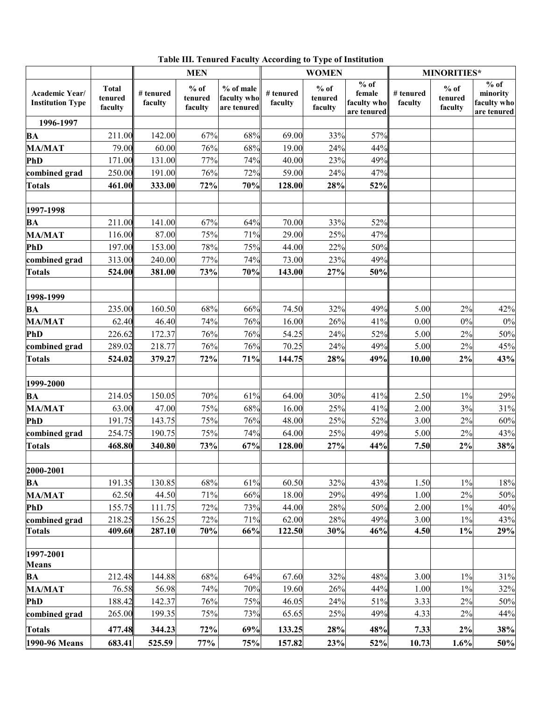|  |  |  |  |  |  |  | Table III. Tenured Faculty According to Type of Institution |
|--|--|--|--|--|--|--|-------------------------------------------------------------|
|--|--|--|--|--|--|--|-------------------------------------------------------------|

|                                           |                                    |                      | <b>MEN</b>                   |                                         |                      | <b>WOMEN</b>                 |                                              | <b>MINORITIES*</b>   |                              |                                                                       |
|-------------------------------------------|------------------------------------|----------------------|------------------------------|-----------------------------------------|----------------------|------------------------------|----------------------------------------------|----------------------|------------------------------|-----------------------------------------------------------------------|
| Academic Year/<br><b>Institution Type</b> | <b>Total</b><br>tenured<br>faculty | # tenured<br>faculty | $%$ of<br>tenured<br>faculty | % of male<br>faculty who<br>are tenured | # tenured<br>faculty | $%$ of<br>tenured<br>faculty | % of<br>female<br>faculty who<br>are tenured | # tenured<br>faculty | $%$ of<br>tenured<br>faculty | $\overline{\frac{9}{6}}$ of<br>minority<br>faculty who<br>are tenured |
| 1996-1997                                 |                                    |                      |                              |                                         |                      |                              |                                              |                      |                              |                                                                       |
| <b>BA</b>                                 | 211.00                             | 142.00               | 67%                          | 68%                                     | 69.00                | 33%                          | 57%                                          |                      |                              |                                                                       |
| <b>MA/MAT</b>                             | 79.00                              | 60.00                | 76%                          | 68%                                     | 19.00                | 24%                          | 44%                                          |                      |                              |                                                                       |
| <b>PhD</b>                                | 171.00                             | 131.00               | 77%                          | 74%                                     | 40.00                | 23%                          | 49%                                          |                      |                              |                                                                       |
| combined grad                             | 250.00                             | 191.00               | 76%                          | 72%                                     | 59.00                | 24%                          | 47%                                          |                      |                              |                                                                       |
| <b>Totals</b>                             | 461.00                             | 333.00               | 72%                          | 70%                                     | 128.00               | 28%                          | 52%                                          |                      |                              |                                                                       |
| 1997-1998                                 |                                    |                      |                              |                                         |                      |                              |                                              |                      |                              |                                                                       |
| <b>BA</b>                                 | 211.00                             | 141.00               | 67%                          | 64%                                     | 70.00                | 33%                          | 52%                                          |                      |                              |                                                                       |
| <b>MA/MAT</b>                             | 116.00                             | 87.00                | 75%                          | 71%                                     | 29.00                | 25%                          | 47%                                          |                      |                              |                                                                       |
| <b>PhD</b>                                | 197.00                             | 153.00               | 78%                          | 75%                                     | 44.00                | 22%                          | 50%                                          |                      |                              |                                                                       |
| combined grad                             | 313.00                             | 240.00               | 77%                          | 74%                                     | 73.00                | 23%                          | 49%                                          |                      |                              |                                                                       |
| <b>Totals</b>                             | 524.00                             | 381.00               | 73%                          | 70%                                     | 143.00               | 27%                          | 50%                                          |                      |                              |                                                                       |
| 1998-1999                                 |                                    |                      |                              |                                         |                      |                              |                                              |                      |                              |                                                                       |
| <b>BA</b>                                 | 235.00                             | 160.50               | 68%                          | 66%                                     | 74.50                | 32%                          | 49%                                          | 5.00                 | 2%                           | 42%                                                                   |
| <b>MA/MAT</b>                             | 62.40                              | 46.40                | 74%                          | 76%                                     | 16.00                | 26%                          | 41%                                          | 0.00                 | $0\%$                        | $0\%$                                                                 |
| <b>PhD</b>                                | 226.62                             | 172.37               | 76%                          | 76%                                     | 54.25                | 24%                          | 52%                                          | 5.00                 | 2%                           | 50%                                                                   |
| combined grad                             | 289.02                             | 218.77               | 76%                          | 76%                                     | 70.25                | 24%                          | 49%                                          | 5.00                 | 2%                           | 45%                                                                   |
| <b>Totals</b>                             | 524.02                             | 379.27               | 72%                          | 71%                                     | 144.75               | 28%                          | 49%                                          | 10.00                | 2%                           | 43%                                                                   |
| 1999-2000                                 |                                    |                      |                              |                                         |                      |                              |                                              |                      |                              |                                                                       |
| <b>BA</b>                                 | 214.05                             | 150.05               | 70%                          | 61%                                     | 64.00                | 30%                          | 41%                                          | 2.50                 | $1\%$                        | 29%                                                                   |
| <b>MA/MAT</b>                             | 63.00                              | 47.00                | 75%                          | 68%                                     | 16.00                | 25%                          | 41%                                          | 2.00                 | 3%                           | 31%                                                                   |
| <b>PhD</b>                                | 191.75                             | 143.75               | 75%                          | 76%                                     | 48.00                | 25%                          | 52%                                          | 3.00                 | $2\%$                        | 60%                                                                   |
| combined grad                             | 254.75                             | 190.75               | 75%                          | 74%                                     | 64.00                | 25%                          | 49%                                          | 5.00                 | 2%                           | 43%                                                                   |
| <b>Totals</b>                             | 468.80                             | 340.80               | 73%                          | 67%                                     | 128.00               | 27%                          | 44%                                          | 7.50                 | $2\%$                        | 38%                                                                   |
| 2000-2001                                 |                                    |                      |                              |                                         |                      |                              |                                              |                      |                              |                                                                       |
| <b>BA</b>                                 | 191.35                             | 130.85               | 68%                          | 61%                                     | 60.50                | 32%                          | 43%                                          | 1.50                 | $1\%$                        | 18%                                                                   |
| <b>MA/MAT</b>                             | 62.50                              | 44.50                | 71%                          | 66%                                     | 18.00                | 29%                          | 49%                                          | 1.00                 | 2%                           | 50%                                                                   |
| <b>PhD</b>                                | 155.75                             | 111.75               | 72%                          | 73%                                     | 44.00                | 28%                          | 50%                                          | 2.00                 | $1\%$                        | 40%                                                                   |
| combined grad                             | 218.25                             | 156.25               | 72%                          | 71%                                     | 62.00                | 28%                          | 49%                                          | 3.00                 | $1\%$                        | 43%                                                                   |
| <b>Totals</b>                             | 409.60                             | 287.10               | $70\%$                       | 66%                                     | 122.50               | 30%                          | 46%                                          | 4.50                 | $1\%$                        | 29%                                                                   |
| 1997-2001<br><b>Means</b>                 |                                    |                      |                              |                                         |                      |                              |                                              |                      |                              |                                                                       |
| <b>BA</b>                                 | 212.48                             | 144.88               | 68%                          | 64%                                     | 67.60                | 32%                          | 48%                                          | 3.00                 | $1\%$                        | 31%                                                                   |
| <b>MA/MAT</b>                             | 76.58                              | 56.98                | 74%                          | 70%                                     | 19.60                | 26%                          | 44%                                          | 1.00                 | $1\%$                        | 32%                                                                   |
| <b>PhD</b>                                | 188.42                             | 142.37               | 76%                          | 75%                                     | 46.05                | 24%                          | 51%                                          | 3.33                 | $2\%$                        | 50%                                                                   |
| combined grad                             | 265.00                             | 199.35               | 75%                          | 73%                                     | 65.65                | 25%                          | 49%                                          | 4.33                 | $2\%$                        | 44%                                                                   |
| <b>Totals</b>                             | 477.48                             | 344.23               | 72%                          | 69%                                     | 133.25               | 28%                          | 48%                                          | 7.33                 | $2\%$                        | 38%                                                                   |
| 1990-96 Means                             | 683.41                             | 525.59               | $77\%$                       | 75%                                     | 157.82               | 23%                          | 52%                                          | 10.73                | 1.6%                         | 50%                                                                   |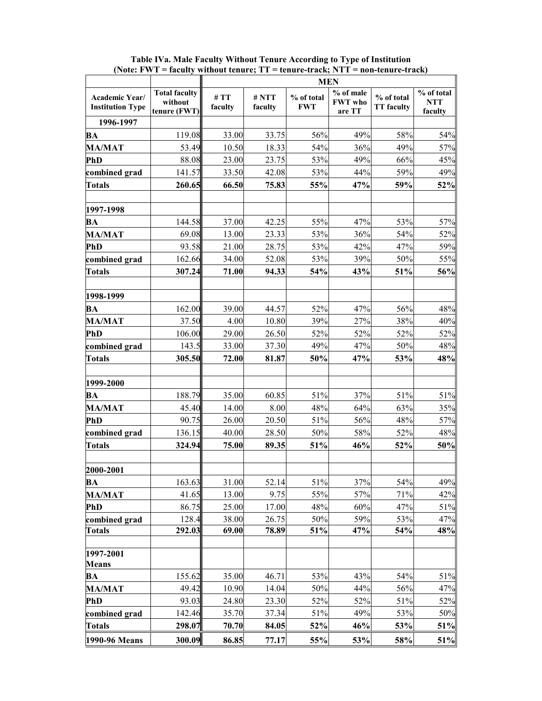|                                           |                                                 | <b>MEN</b>     |                     |                          |                                       |                                 |                                     |
|-------------------------------------------|-------------------------------------------------|----------------|---------------------|--------------------------|---------------------------------------|---------------------------------|-------------------------------------|
| Academic Year/<br><b>Institution Type</b> | <b>Total faculty</b><br>without<br>tenure (FWT) | #TT<br>faculty | $\#$ NTT<br>faculty | % of total<br><b>FWT</b> | % of male<br><b>FWT</b> who<br>are TT | % of total<br><b>TT</b> faculty | % of total<br><b>NTT</b><br>faculty |
| 1996-1997                                 |                                                 |                |                     |                          |                                       |                                 |                                     |
| <b>BA</b>                                 | 119.08                                          | 33.00          | 33.75               | 56%                      | 49%                                   | 58%                             | 54%                                 |
| <b>MA/MAT</b>                             | 53.49                                           | 10.50          | 18.33               | 54%                      | 36%                                   | 49%                             | 57%                                 |
| <b>PhD</b>                                | 88.08                                           | 23.00          | 23.75               | 53%                      | 49%                                   | 66%                             | 45%                                 |
| combined grad                             | 141.57                                          | 33.50          | 42.08               | 53%                      | 44%                                   | 59%                             | 49%                                 |
| <b>Totals</b>                             | 260.65                                          | 66.50          | 75.83               | 55%                      | 47%                                   | 59%                             | 52%                                 |
| 1997-1998                                 |                                                 |                |                     |                          |                                       |                                 |                                     |
| BA                                        | 144.58                                          | 37.00          | 42.25               | 55%                      | 47%                                   | 53%                             | 57%                                 |
| <b>MA/MAT</b>                             | 69.08                                           | 13.00          | 23.33               | 53%                      | 36%                                   | 54%                             | 52%                                 |
| <b>PhD</b>                                | 93.58                                           | 21.00          | 28.75               | 53%                      | 42%                                   | 47%                             | 59%                                 |
| combined grad                             | 162.66                                          | 34.00          | 52.08               | 53%                      | 39%                                   | 50%                             | 55%                                 |
| <b>Totals</b>                             | 307.24                                          | 71.00          | 94.33               | 54%                      | 43%                                   | 51%                             | 56%                                 |
| 1998-1999                                 |                                                 |                |                     |                          |                                       |                                 |                                     |
| BA                                        | 162.00                                          | 39.00          | 44.57               | 52%                      | 47%                                   | 56%                             | 48%                                 |
| <b>MA/MAT</b>                             | 37.50                                           | 4.00           | 10.80               | 39%                      | 27%                                   | 38%                             | 40%                                 |
| <b>PhD</b>                                | 106.00                                          | 29.00          | 26.50               | 52%                      | 52%                                   | 52%                             | 52%                                 |
| combined grad                             | 143.5                                           | 33.00          | 37.30               | 49%                      | 47%                                   | 50%                             | 48%                                 |
| <b>Totals</b>                             | 305.50                                          | 72.00          | 81.87               | 50%                      | 47%                                   | 53%                             | 48%                                 |
| 1999-2000                                 |                                                 |                |                     |                          |                                       |                                 |                                     |
| BA                                        | 188.79                                          | 35.00          | 60.85               | 51%                      | 37%                                   | 51%                             | 51%                                 |
| <b>MA/MAT</b>                             | 45.40                                           | 14.00          | 8.00                | 48%                      | 64%                                   | 63%                             | 35%                                 |
| PhD                                       | 90.75                                           | 26.00          | 20.50               | 51%                      | 56%                                   | 48%                             | 57%                                 |
| combined grad                             | 136.15                                          | 40.00          | 28.50               | 50%                      | 58%                                   | 52%                             | 48%                                 |
| <b>Totals</b>                             | 324.94                                          | 75.00          | 89.35               | 51%                      | 46%                                   | 52%                             | 50%                                 |
| 2000-2001                                 |                                                 |                |                     |                          |                                       |                                 |                                     |
| BA                                        | 163.63                                          | 31.00          | 52.14               | 51%                      | 37%                                   | 54%                             | 49%                                 |
| <b>MA/MAT</b>                             | 41.65                                           | 13.00          | 9.75                | 55%                      | 57%                                   | 71%                             | 42%                                 |
| <b>PhD</b>                                | 86.75                                           | 25.00          | 17.00               | 48%                      | 60%                                   | 47%                             | 51%                                 |
| combined grad                             | 128.4                                           | 38.00          | 26.75               | 50%                      | 59%                                   | 53%                             | 47%                                 |
| <b>Totals</b>                             | 292.03                                          | 69.00          | 78.89               | 51%                      | 47%                                   | 54%                             | 48%                                 |
| 1997-2001<br><b>Means</b>                 |                                                 |                |                     |                          |                                       |                                 |                                     |
| <b>BA</b>                                 | 155.62                                          | 35.00          | 46.71               | 53%                      | 43%                                   | 54%                             | 51%                                 |
| <b>MA/MAT</b>                             | 49.42                                           | 10.90          | 14.04               | 50%                      | 44%                                   | 56%                             | 47%                                 |
| <b>PhD</b>                                | 93.03                                           | 24.80          | 23.30               | 52%                      | 52%                                   | 51%                             | 52%                                 |
| combined grad                             | 142.46                                          | 35.70          | 37.34               | 51%                      | 49%                                   | 53%                             | 50%                                 |
| <b>Totals</b>                             | 298.07                                          | 70.70          | 84.05               | 52%                      | 46%                                   | 53%                             | 51%                                 |
| 1990-96 Means                             | 300.09                                          | 86.85          | 77.17               | 55%                      | 53%                                   | 58%                             | 51%                                 |

**Table IVa. Male Faculty Without Tenure According to Type of Institution (Note: FWT = faculty without tenure; TT = tenure-track; NTT = non-tenure-track)**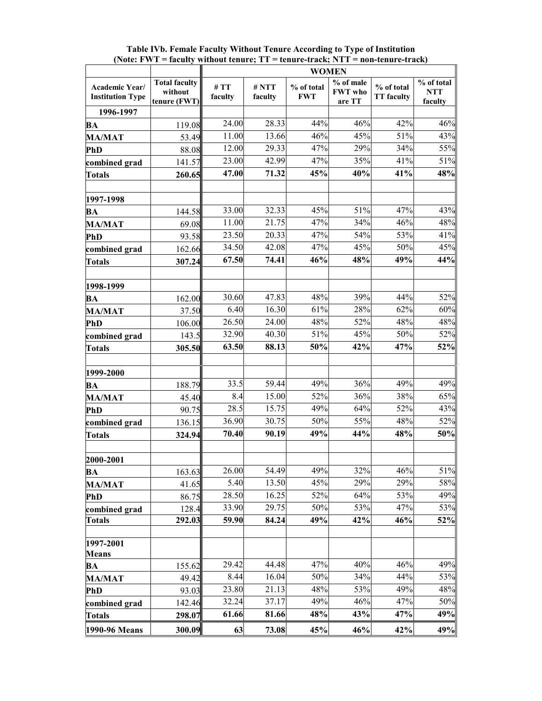| <b>WOMEN</b>                              |                                                 |                |                  |                          |                                       |                                 |                                       |
|-------------------------------------------|-------------------------------------------------|----------------|------------------|--------------------------|---------------------------------------|---------------------------------|---------------------------------------|
| Academic Year/<br><b>Institution Type</b> | <b>Total faculty</b><br>without<br>tenure (FWT) | #TT<br>faculty | # NTT<br>faculty | % of total<br><b>FWT</b> | % of male<br><b>FWT</b> who<br>are TT | % of total<br><b>TT</b> faculty | $%$ of total<br><b>NTT</b><br>faculty |
| 1996-1997                                 |                                                 |                |                  |                          |                                       |                                 |                                       |
| BA                                        | 119.08                                          | 24.00          | 28.33            | 44%                      | 46%                                   | 42%                             | 46%                                   |
| <b>MA/MAT</b>                             | 53.49                                           | 11.00          | 13.66            | 46%                      | 45%                                   | 51%                             | 43%                                   |
| <b>PhD</b>                                | 88.08                                           | 12.00          | 29.33            | 47%                      | 29%                                   | 34%                             | 55%                                   |
| combined grad                             | 141.57                                          | 23.00          | 42.99            | 47%                      | 35%                                   | 41%                             | 51%                                   |
| <b>Totals</b>                             | 260.65                                          | 47.00          | 71.32            | 45%                      | 40%                                   | 41%                             | 48%                                   |
| 1997-1998                                 |                                                 |                |                  |                          |                                       |                                 |                                       |
| BA                                        | 144.58                                          | 33.00          | 32.33            | 45%                      | 51%                                   | 47%                             | 43%                                   |
| <b>MA/MAT</b>                             | 69.08                                           | 11.00          | 21.75            | 47%                      | 34%                                   | 46%                             | 48%                                   |
| <b>PhD</b>                                | 93.58                                           | 23.50          | 20.33            | $47\sqrt{2}$             | 54%                                   | 53%                             | 41%                                   |
| combined grad                             | 162.66                                          | 34.50          | 42.08            | 47%                      | 45%                                   | 50%                             | 45%                                   |
| <b>Totals</b>                             | 307.24                                          | 67.50          | 74.41            | 46%                      | 48%                                   | 49%                             | 44%                                   |
| 1998-1999                                 |                                                 |                |                  |                          |                                       |                                 |                                       |
| BA                                        | 162.00                                          | 30.60          | 47.83            | 48%                      | 39%                                   | 44%                             | 52%                                   |
| <b>MA/MAT</b>                             | 37.50                                           | 6.40           | 16.30            | 61%                      | 28%                                   | 62%                             | 60%                                   |
| <b>PhD</b>                                | 106.00                                          | 26.50          | 24.00            | 48%                      | 52%                                   | 48%                             | 48%                                   |
| combined grad                             | 143.5                                           | 32.90          | 40.30            | 51%                      | 45%                                   | 50%                             | 52%                                   |
| <b>Totals</b>                             | 305.50                                          | 63.50          | 88.13            | 50%                      | 42%                                   | 47%                             | 52%                                   |
| 1999-2000                                 |                                                 |                |                  |                          |                                       |                                 |                                       |
| BA                                        | 188.79                                          | 33.5           | 59.44            | 49%                      | 36%                                   | 49%                             | 49%                                   |
| <b>MA/MAT</b>                             | 45.40                                           | 8.4            | 15.00            | 52%                      | 36%                                   | 38%                             | 65%                                   |
| PhD                                       | 90.75                                           | 28.5           | 15.75            | 49%                      | 64%                                   | 52%                             | 43%                                   |
| combined grad                             | 136.15                                          | 36.90          | 30.75            | 50%                      | 55%                                   | 48%                             | 52%                                   |
| <b>Totals</b>                             | 324.94                                          | 70.40          | 90.19            | 49%                      | 44%                                   | 48%                             | 50%                                   |
| 2000-2001                                 |                                                 |                |                  |                          |                                       |                                 |                                       |
| BA                                        | 163.63                                          | 26.00          | 54.49            | 49%                      | 32%                                   | 46%                             | 51%                                   |
| <b>MA/MAT</b>                             | 41.65                                           | 5.40           | 13.50            | 45%                      | 29%                                   | 29%                             | 58%                                   |
| <b>PhD</b>                                | 86.75                                           | 28.50          | 16.25            | 52%                      | 64%                                   | 53%                             | 49%                                   |
| combined grad                             | 128.4                                           | 33.90          | 29.75            | 50%                      | 53%                                   | 47%                             | 53%                                   |
| <b>Totals</b>                             | 292.03                                          | 59.90          | 84.24            | 49%                      | 42%                                   | 46%                             | 52%                                   |
| 1997-2001<br><b>Means</b>                 |                                                 |                |                  |                          |                                       |                                 |                                       |
| BA                                        | 155.62                                          | 29.42          | 44.48            | 47%                      | 40%                                   | 46%                             | 49%                                   |
| <b>MA/MAT</b>                             | 49.42                                           | 8.44           | 16.04            | 50%                      | 34%                                   | 44%                             | 53%                                   |
| <b>PhD</b>                                | 93.03                                           | 23.80          | 21.13            | 48%                      | 53%                                   | 49%                             | 48%                                   |
| combined grad                             | 142.46                                          | 32.24          | 37.17            | 49%                      | 46%                                   | 47%                             | 50%                                   |
| <b>Totals</b>                             | 298.07                                          | 61.66          | 81.66            | 48%                      | 43%                                   | 47%                             | 49%                                   |
| 1990-96 Means                             | 300.09                                          | 63             | 73.08            | 45%                      | 46%                                   | 42%                             | 49%                                   |

**Table IVb. Female Faculty Without Tenure According to Type of Institution (Note: FWT = faculty without tenure; TT = tenure-track; NTT = non-tenure-track)**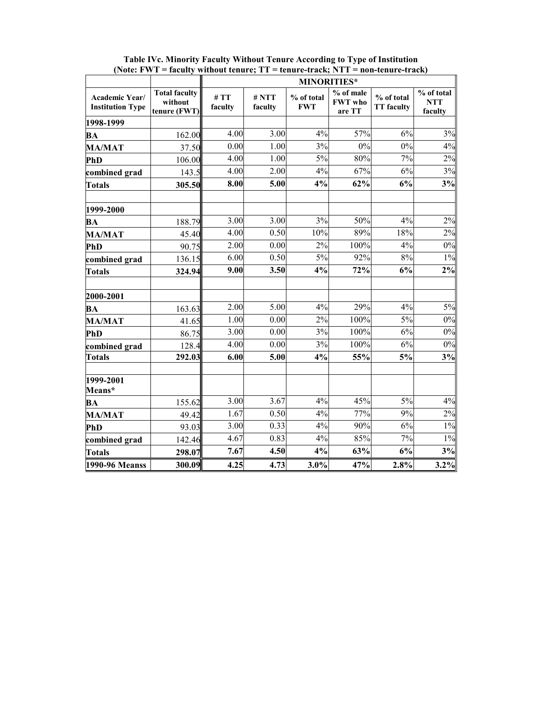|                                           |                                                 | <b>MINORITIES*</b> |                  |                          |                                       |                                 |                                     |  |
|-------------------------------------------|-------------------------------------------------|--------------------|------------------|--------------------------|---------------------------------------|---------------------------------|-------------------------------------|--|
| Academic Year/<br><b>Institution Type</b> | <b>Total faculty</b><br>without<br>tenure (FWT) | #TT<br>faculty     | # NTT<br>faculty | % of total<br><b>FWT</b> | % of male<br><b>FWT</b> who<br>are TT | % of total<br><b>TT</b> faculty | % of total<br><b>NTT</b><br>faculty |  |
| 1998-1999                                 |                                                 |                    |                  |                          |                                       |                                 |                                     |  |
| <b>BA</b>                                 | 162.00                                          | 4.00               | 3.00             | 4%                       | 57%                                   | 6%                              | 3%                                  |  |
| <b>MA/MAT</b>                             | 37.50                                           | 0.00               | 1.00             | 3%                       | 0%                                    | 0%                              | 4%                                  |  |
| PhD                                       | 106.00                                          | 4.00               | 1.00             | 5%                       | 80%                                   | 7%                              | 2%                                  |  |
| combined grad                             | 143.5                                           | 4.00               | 2.00             | 4%                       | 67%                                   | 6%                              | 3%                                  |  |
| <b>Totals</b>                             | 305.50                                          | 8.00               | 5.00             | 4%                       | 62%                                   | 6%                              | 3%                                  |  |
| 1999-2000                                 |                                                 |                    |                  |                          |                                       |                                 |                                     |  |
| BA                                        | 188.79                                          | 3.00               | 3.00             | 3%                       | 50%                                   | 4%                              | 2%                                  |  |
| <b>MA/MAT</b>                             | 45.40                                           | 4.00               | 0.50             | 10%                      | 89%                                   | 18%                             | 2%                                  |  |
| PhD                                       | 90.75                                           | 2.00               | 0.00             | 2%                       | 100%                                  | 4%                              | 0%                                  |  |
| combined grad                             | 136.15                                          | 6.00               | 0.50             | $5\%$                    | 92%                                   | 8%                              | $1\%$                               |  |
| <b>Totals</b>                             | 324.94                                          | 9.00               | 3.50             | 4%                       | 72%                                   | 6%                              | $2\%$                               |  |
| 2000-2001                                 |                                                 |                    |                  |                          |                                       |                                 |                                     |  |
| BA                                        | 163.63                                          | 2.00               | 5.00             | 4%                       | 29%                                   | 4%                              | 5%                                  |  |
| <b>MA/MAT</b>                             | 41.65                                           | 1.00               | 0.00             | 2%                       | 100%                                  | 5%                              | $0\%$                               |  |
| PhD                                       | 86.75                                           | 3.00               | 0.00             | 3%                       | 100%                                  | 6%                              | 0%                                  |  |
| combined grad                             | 128.4                                           | 4.00               | 0.00             | 3%                       | 100%                                  | 6%                              | $0\%$                               |  |
| <b>Totals</b>                             | 292.03                                          | 6.00               | 5.00             | 4%                       | 55%                                   | 5%                              | 3%                                  |  |
| 1999-2001<br>Means*                       |                                                 |                    |                  |                          |                                       |                                 |                                     |  |
| BA                                        | 155.62                                          | 3.00               | 3.67             | 4%                       | 45%                                   | 5%                              | 4%                                  |  |
| <b>MA/MAT</b>                             | 49.42                                           | 1.67               | 0.50             | 4%                       | 77%                                   | 9%                              | 2%                                  |  |
| PhD                                       | 93.03                                           | 3.00               | 0.33             | 4%                       | 90%                                   | 6%                              | $1\%$                               |  |
| combined grad                             | 142.46                                          | 4.67               | 0.83             | 4%                       | 85%                                   | 7%                              | $1\%$                               |  |
| <b>Totals</b>                             | 298.07                                          | 7.67               | 4.50             | 4%                       | 63%                                   | 6%                              | 3%                                  |  |
| 1990-96 Meanss                            | 300.09                                          | 4.25               | 4.73             | 3.0%                     | 47%                                   | 2.8%                            | 3.2%                                |  |

**Table IVc. Minority Faculty Without Tenure According to Type of Institution (Note: FWT = faculty without tenure; TT = tenure-track; NTT = non-tenure-track)**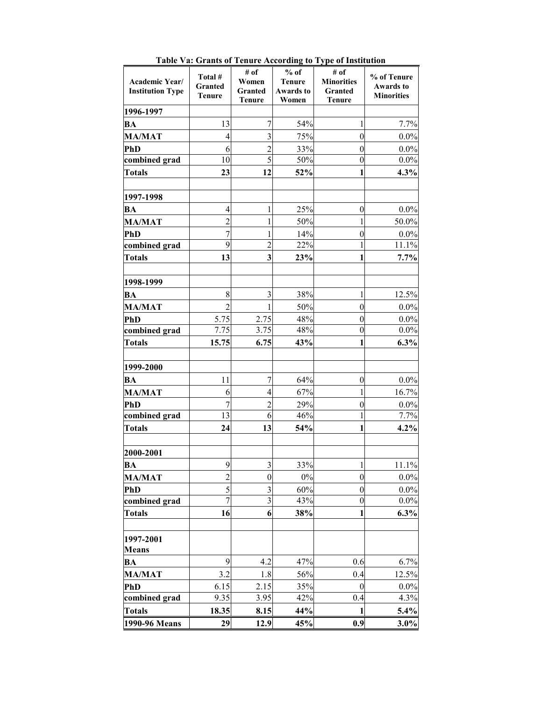| Academic Year/<br><b>Institution Type</b> | Total #<br>Granted<br><b>Tenure</b> | # of<br>Women<br>Granted<br><b>Tenure</b> | $%$ of<br><b>Tenure</b><br><b>Awards to</b><br>Women | # of<br><b>Minorities</b><br>Granted<br><b>Tenure</b> | % of Tenure<br><b>Awards to</b><br><b>Minorities</b> |
|-------------------------------------------|-------------------------------------|-------------------------------------------|------------------------------------------------------|-------------------------------------------------------|------------------------------------------------------|
| 1996-1997                                 |                                     |                                           |                                                      |                                                       |                                                      |
| BA                                        | 13                                  | 7                                         | 54%                                                  | 1                                                     | 7.7%                                                 |
| <b>MA/MAT</b>                             | 4                                   | 3                                         | 75%                                                  | $\boldsymbol{0}$                                      | 0.0%                                                 |
| PhD                                       | 6                                   | $\overline{c}$                            | 33%                                                  | $\boldsymbol{0}$                                      | 0.0%                                                 |
| combined grad                             | 10                                  | 5                                         | 50%                                                  | $\boldsymbol{0}$                                      | $0.0\%$                                              |
| <b>Totals</b>                             | 23                                  | 12                                        | 52%                                                  | 1                                                     | 4.3%                                                 |
|                                           |                                     |                                           |                                                      |                                                       |                                                      |
| 1997-1998                                 |                                     |                                           |                                                      |                                                       |                                                      |
| BA                                        | 4                                   | 1                                         | 25%                                                  | $\boldsymbol{0}$                                      | $0.0\%$                                              |
| <b>MA/MAT</b>                             | $\overline{2}$                      | 1                                         | 50%                                                  | 1                                                     | 50.0%                                                |
| PhD                                       | $\overline{7}$                      | 1                                         | 14%                                                  | $\boldsymbol{0}$                                      | 0.0%                                                 |
| combined grad                             | 9                                   | $\overline{2}$                            | 22%                                                  | $\mathbf{1}$                                          | 11.1%                                                |
| <b>Totals</b>                             | 13                                  | 3                                         | 23%                                                  | 1                                                     | 7.7%                                                 |
|                                           |                                     |                                           |                                                      |                                                       |                                                      |
| 1998-1999                                 |                                     |                                           |                                                      |                                                       |                                                      |
| BA                                        | 8                                   | 3                                         | 38%                                                  | 1                                                     | 12.5%                                                |
| <b>MA/MAT</b>                             | $\overline{2}$                      | 1                                         | 50%                                                  | $\boldsymbol{0}$                                      | $0.0\%$                                              |
| PhD                                       | 5.75                                | 2.75                                      | 48%                                                  | $\boldsymbol{0}$                                      | 0.0%                                                 |
| combined grad                             | 7.75                                | 3.75                                      | 48%                                                  | $\boldsymbol{0}$                                      | $0.0\%$                                              |
| <b>Totals</b>                             | 15.75                               | 6.75                                      | 43%                                                  | 1                                                     | 6.3%                                                 |
|                                           |                                     |                                           |                                                      |                                                       |                                                      |
| 1999-2000                                 |                                     |                                           |                                                      |                                                       |                                                      |
| BA                                        | 11                                  | $\overline{7}$                            | 64%                                                  | $\boldsymbol{0}$                                      | 0.0%                                                 |
| <b>MA/MAT</b>                             | 6                                   | $\overline{\mathcal{L}}$                  | 67%                                                  | 1                                                     | 16.7%                                                |
| PhD                                       | $\overline{7}$                      | $\overline{c}$                            | 29%                                                  | $\boldsymbol{0}$                                      | $0.0\%$                                              |
| combined grad                             | 13                                  | 6                                         | 46%                                                  | 1                                                     | 7.7%                                                 |
| <b>Totals</b>                             | 24                                  | 13                                        | 54%                                                  | 1                                                     | 4.2%                                                 |
|                                           |                                     |                                           |                                                      |                                                       |                                                      |
| 2000-2001                                 |                                     |                                           |                                                      |                                                       |                                                      |
| BA                                        | $\overline{9}$                      | 3                                         | 33%                                                  | $\mathbf{1}$                                          | 11.1%                                                |
| <b>MA/MAT</b>                             | $\overline{2}$                      | $\boldsymbol{0}$                          | $0\%$                                                | $\boldsymbol{0}$                                      | 0.0%                                                 |
| PhD                                       | 5<br>$\overline{7}$                 | 3<br>3                                    | 60%<br>43%                                           | $\boldsymbol{0}$<br>$\boldsymbol{0}$                  | 0.0%<br>0.0%                                         |
| combined grad                             |                                     |                                           |                                                      |                                                       |                                                      |
| <b>Totals</b>                             | 16                                  | 6                                         | 38%                                                  | 1                                                     | 6.3%                                                 |
|                                           |                                     |                                           |                                                      |                                                       |                                                      |
| 1997-2001<br><b>Means</b>                 |                                     |                                           |                                                      |                                                       |                                                      |
| BA                                        | 9                                   | 4.2                                       | 47%                                                  | 0.6                                                   | 6.7%                                                 |
| <b>MA/MAT</b>                             | 3.2                                 | 1.8                                       | 56%                                                  | 0.4                                                   | 12.5%                                                |
| PhD                                       | 6.15                                | 2.15                                      | 35%                                                  | $\mathbf{0}$                                          | 0.0%                                                 |
| combined grad                             | 9.35                                | 3.95                                      | 42%                                                  | 0.4                                                   | 4.3%                                                 |
| <b>Totals</b>                             | 18.35                               | 8.15                                      | 44%                                                  | 1                                                     | 5.4%                                                 |
| 1990-96 Means                             | 29                                  | 12.9                                      | 45%                                                  | 0.9                                                   | $3.0\%$                                              |

**Table Va: Grants of Tenure According to Type of Institution**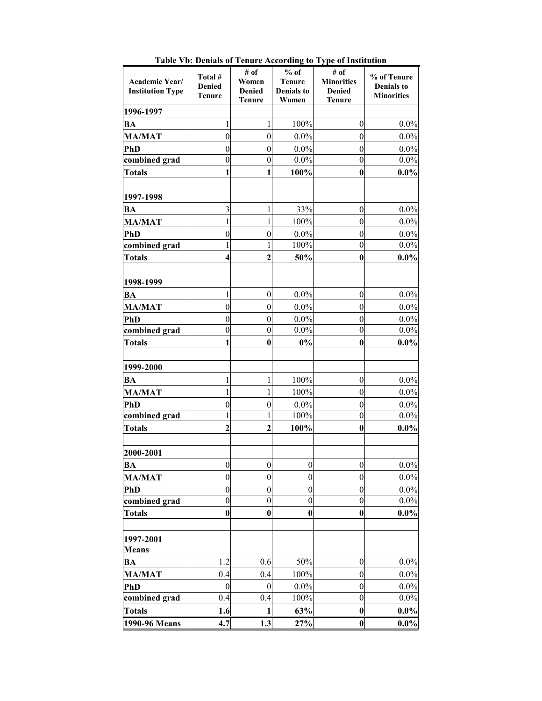| Academic Year/<br><b>Institution Type</b> | Total #<br><b>Denied</b><br><b>Tenure</b> | # of<br>Women<br><b>Denied</b><br><b>Tenure</b> | $%$ of<br><b>Tenure</b><br><b>Denials</b> to<br>Women | # of<br><b>Minorities</b><br><b>Denied</b><br><b>Tenure</b> | % of Tenure<br><b>Denials to</b><br><b>Minorities</b> |
|-------------------------------------------|-------------------------------------------|-------------------------------------------------|-------------------------------------------------------|-------------------------------------------------------------|-------------------------------------------------------|
| 1996-1997                                 |                                           |                                                 |                                                       |                                                             |                                                       |
| <b>BA</b>                                 | 1                                         | $\mathbf{1}$                                    | 100%                                                  | $\boldsymbol{0}$                                            | $0.0\%$                                               |
| <b>MA/MAT</b>                             | $\overline{0}$                            | $\mathbf{0}$                                    | 0.0%                                                  | $\mathbf{0}$                                                | $0.0\%$                                               |
| <b>PhD</b>                                | $\boldsymbol{0}$                          | $\boldsymbol{0}$                                | $0.0\%$                                               | $\boldsymbol{0}$                                            | 0.0%                                                  |
| combined grad                             | $\overline{0}$                            | $\boldsymbol{0}$                                | $0.0\%$                                               | $\overline{0}$                                              | 0.0%                                                  |
| <b>Totals</b>                             | 1                                         | 1                                               | 100%                                                  | $\bf{0}$                                                    | $0.0\%$                                               |
|                                           |                                           |                                                 |                                                       |                                                             |                                                       |
| 1997-1998                                 |                                           |                                                 |                                                       |                                                             |                                                       |
| <b>BA</b>                                 | 3                                         | 1                                               | 33%                                                   | $\boldsymbol{0}$                                            | $0.0\%$                                               |
| <b>MA/MAT</b>                             | 1                                         | 1                                               | 100%                                                  | $\mathbf{0}$                                                | $0.0\%$                                               |
| <b>PhD</b>                                | $\boldsymbol{0}$                          | $\boldsymbol{0}$                                | $0.0\%$                                               | $\boldsymbol{0}$                                            | 0.0%                                                  |
| combined grad                             | 1                                         | 1                                               | 100%                                                  | $\boldsymbol{0}$                                            | 0.0%                                                  |
| <b>Totals</b>                             | 4                                         | $\mathbf{2}$                                    | 50%                                                   | $\bf{0}$                                                    | $0.0\%$                                               |
|                                           |                                           |                                                 |                                                       |                                                             |                                                       |
| 1998-1999                                 |                                           |                                                 |                                                       |                                                             |                                                       |
| BA                                        | 1                                         | $\boldsymbol{0}$                                | $0.0\%$                                               | $\boldsymbol{0}$                                            | $0.0\%$                                               |
| <b>MA/MAT</b>                             | $\overline{0}$                            | $\boldsymbol{0}$                                | $0.0\%$                                               | $\overline{0}$                                              | $0.0\%$                                               |
| <b>PhD</b>                                | $\boldsymbol{0}$                          | $\boldsymbol{0}$                                | $0.0\%$                                               | $\boldsymbol{0}$                                            | 0.0%                                                  |
| combined grad                             | $\boldsymbol{0}$                          | $\theta$                                        | 0.0%                                                  | $\boldsymbol{0}$                                            | $0.0\%$                                               |
| <b>Totals</b>                             | 1                                         | $\bf{0}$                                        | $0\%$                                                 | $\bf{0}$                                                    | $0.0\%$                                               |
| 1999-2000                                 |                                           |                                                 |                                                       |                                                             |                                                       |
| <b>BA</b>                                 | 1                                         | $\mathbf{1}$                                    | 100%                                                  | $\boldsymbol{0}$                                            | $0.0\%$                                               |
| <b>MA/MAT</b>                             | 1                                         | 1                                               | 100%                                                  | $\boldsymbol{0}$                                            | $0.0\%$                                               |
| <b>PhD</b>                                | $\overline{0}$                            | $\boldsymbol{0}$                                | 0.0%                                                  | $\boldsymbol{0}$                                            | 0.0%                                                  |
| combined grad                             | 1                                         | 1                                               | 100%                                                  | $\boldsymbol{0}$                                            | $0.0\%$                                               |
| <b>Totals</b>                             | $\overline{2}$                            | $\mathbf{2}$                                    | 100%                                                  | $\bf{0}$                                                    | $0.0\%$                                               |
|                                           |                                           |                                                 |                                                       |                                                             |                                                       |
| 2000-2001                                 |                                           |                                                 |                                                       |                                                             |                                                       |
| $\overline{BA}$                           | $\boldsymbol{0}$                          | $\boldsymbol{0}$                                | $\boldsymbol{0}$                                      | $\boldsymbol{0}$                                            | $0.0\%$                                               |
| <b>MA/MAT</b>                             | $\overline{0}$                            | $\boldsymbol{0}$                                | $\boldsymbol{0}$                                      | $\boldsymbol{0}$                                            | 0.0%                                                  |
| <b>PhD</b>                                | $\boldsymbol{0}$                          | $\boldsymbol{0}$                                | $\boldsymbol{0}$                                      | $\boldsymbol{0}$                                            | 0.0%                                                  |
| combined grad                             | $\overline{0}$                            | $\boldsymbol{0}$                                | $\boldsymbol{0}$                                      | $\boldsymbol{0}$                                            | $0.0\%$                                               |
| <b>Totals</b>                             | $\bf{0}$                                  | $\bf{0}$                                        | $\bf{0}$                                              | $\bf{0}$                                                    | $0.0\%$                                               |
|                                           |                                           |                                                 |                                                       |                                                             |                                                       |
| 1997-2001<br><b>Means</b>                 |                                           |                                                 |                                                       |                                                             |                                                       |
| BA                                        | 1.2                                       | 0.6                                             | 50%                                                   | $\boldsymbol{0}$                                            | $0.0\%$                                               |
| <b>MA/MAT</b>                             | 0.4                                       | 0.4                                             | 100%                                                  | $\boldsymbol{0}$                                            | 0.0%                                                  |
| PhD                                       | $\mathbf{0}$                              | $\boldsymbol{0}$                                | 0.0%                                                  | $\boldsymbol{0}$                                            | $0.0\%$                                               |
| combined grad                             | 0.4                                       | 0.4                                             | 100%                                                  | $\overline{0}$                                              | $0.0\%$                                               |
| <b>Totals</b>                             | 1.6                                       | 1                                               | 63%                                                   | $\bf{0}$                                                    | $0.0\%$                                               |
| 1990-96 Means                             | 4.7                                       | 1.3                                             | 27%                                                   | $\boldsymbol{0}$                                            | $0.0\%$                                               |

**Table Vb: Denials of Tenure According to Type of Institution**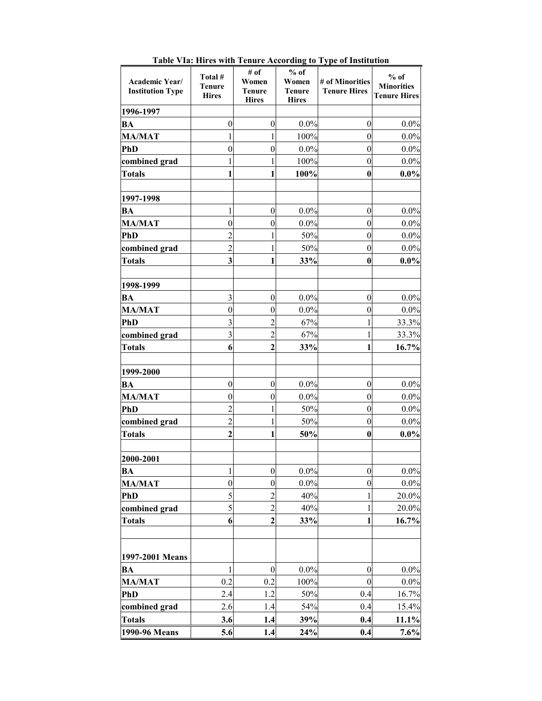| <b>Academic Year/</b><br><b>Institution Type</b> | Total #<br><b>Tenure</b><br><b>Hires</b> | # of<br>Women<br><b>Tenure</b><br><b>Hires</b> | $%$ of<br>Women<br><b>Tenure</b><br><b>Hires</b> | # of Minorities<br><b>Tenure Hires</b> | $%$ of<br><b>Minorities</b><br><b>Tenure Hires</b> |
|--------------------------------------------------|------------------------------------------|------------------------------------------------|--------------------------------------------------|----------------------------------------|----------------------------------------------------|
| 1996-1997                                        |                                          |                                                |                                                  |                                        |                                                    |
| BA                                               | $\theta$                                 | $\boldsymbol{0}$                               | 0.0%                                             | $\boldsymbol{0}$                       | $0.0\%$                                            |
| <b>MA/MAT</b>                                    | 1                                        | 1                                              | 100%                                             | $\mathbf{0}$                           | 0.0%                                               |
| <b>PhD</b>                                       | $\boldsymbol{0}$                         | $\boldsymbol{0}$                               | $0.0\%$                                          | $\mathbf{0}$                           | 0.0%                                               |
| combined grad                                    |                                          | 1                                              | 100%                                             | $\boldsymbol{0}$                       | $0.0\%$                                            |
| <b>Totals</b>                                    | 1                                        | 1                                              | 100%                                             | $\bf{0}$                               | $0.0\%$                                            |
| 1997-1998                                        |                                          |                                                |                                                  |                                        |                                                    |
| BA                                               | 1                                        | $\boldsymbol{0}$                               | $0.0\%$                                          | $\boldsymbol{0}$                       | 0.0%                                               |
| <b>MA/MAT</b>                                    | $\boldsymbol{0}$                         | $\boldsymbol{0}$                               | $0.0\%$                                          | $\mathbf{0}$                           | $0.0\%$                                            |
| <b>PhD</b>                                       | $\overline{2}$                           | 1                                              | 50%                                              | $\boldsymbol{0}$                       | $0.0\%$                                            |
| combined grad                                    | $\overline{c}$                           | 1                                              | 50%                                              | $\boldsymbol{0}$                       | 0.0%                                               |
| Totals                                           | $\overline{\mathbf{3}}$                  | 1                                              | 33%                                              | $\bf{0}$                               | $0.0\%$                                            |
| 1998-1999                                        |                                          |                                                |                                                  |                                        |                                                    |
| BA                                               | 3                                        | $\boldsymbol{0}$                               | $0.0\%$                                          | $\mathbf{0}$                           | $0.0\%$                                            |
| <b>MA/MAT</b>                                    | $\boldsymbol{0}$                         | $\boldsymbol{0}$                               | 0.0%                                             | $\boldsymbol{0}$                       | $0.0\%$                                            |
| <b>PhD</b>                                       | 3                                        | $\overline{2}$                                 | 67%                                              | 1                                      | 33.3%                                              |
| combined grad                                    | $\overline{3}$                           | $\overline{c}$                                 | 67%                                              | 1                                      | 33.3%                                              |
| <b>Totals</b>                                    | 6                                        | $\overline{2}$                                 | 33%                                              | 1                                      | 16.7%                                              |
| 1999-2000                                        |                                          |                                                |                                                  |                                        |                                                    |
| BA                                               | $\boldsymbol{0}$                         | $\boldsymbol{0}$                               | 0.0%                                             | $\boldsymbol{0}$                       | $0.0\%$                                            |
| <b>MA/MAT</b>                                    | $\overline{0}$                           | $\mathbf{0}$                                   | $0.0\%$                                          | $\boldsymbol{0}$                       | 0.0%                                               |
| PhD                                              | $\overline{2}$                           | 1                                              | 50%                                              | $\mathbf{0}$                           | 0.0%                                               |
| combined grad                                    | $\overline{2}$                           | 1                                              | 50%                                              | $\boldsymbol{0}$                       | $0.0\%$                                            |
| <b>Totals</b>                                    | $\overline{2}$                           | 1                                              | 50%                                              | $\bf{0}$                               | $0.0\%$                                            |
| 2000-2001                                        |                                          |                                                |                                                  |                                        |                                                    |
| BA                                               | 1                                        | $\boldsymbol{0}$                               | $0.0\%$                                          | $\boldsymbol{0}$                       | 0.0%                                               |
| <b>MA/MAT</b>                                    | $\boldsymbol{0}$                         | $\boldsymbol{0}$                               | $0.0\%$                                          | $\boldsymbol{0}$                       | 0.0%                                               |
| <b>PhD</b>                                       | 5                                        | $\overline{2}$                                 | 40%                                              | 1                                      | 20.0%                                              |
| combined grad                                    | 5                                        | $\overline{2}$                                 | 40%                                              | 1                                      | 20.0%                                              |
| <b>Totals</b>                                    | 6                                        | $\overline{2}$                                 | 33%                                              | 1                                      | 16.7%                                              |
| 1997-2001 Means                                  |                                          |                                                |                                                  |                                        |                                                    |
| BA                                               | 1                                        | $\boldsymbol{0}$                               | $0.0\%$                                          | $\boldsymbol{0}$                       | $0.0\%$                                            |
| <b>MA/MAT</b>                                    | 0.2                                      | 0.2                                            | 100%                                             | $\mathbf{0}$                           | $0.0\%$                                            |
| <b>PhD</b>                                       | 2.4                                      | 1.2                                            | 50%                                              | 0.4                                    | 16.7%                                              |
| combined grad                                    | 2.6                                      | 1.4                                            | 54%                                              | 0.4                                    | 15.4%                                              |
| <b>Totals</b>                                    | 3.6                                      | 1.4                                            | 39%                                              | 0.4                                    | 11.1%                                              |
| 1990-96 Means                                    | 5.6                                      | 1.4                                            | 24%                                              | 0.4                                    | 7.6%                                               |

**Table VIa: Hires with Tenure According to Type of Institution**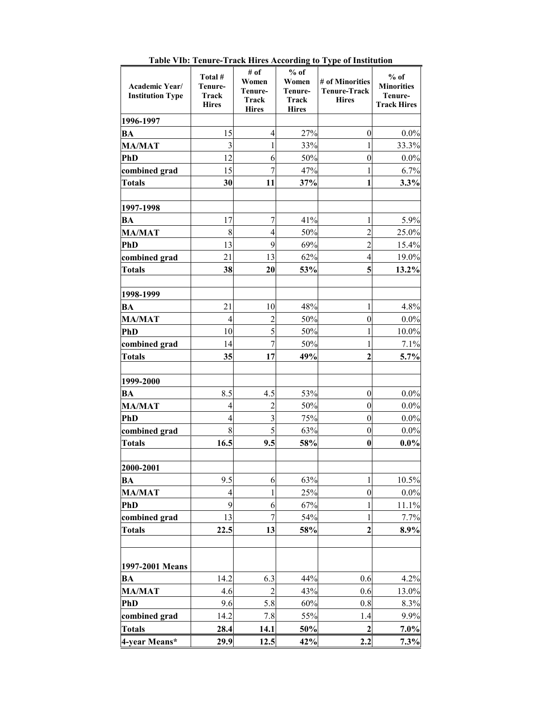|                                           |                                             |                                                   |                                                     | radie vid. renure-rrack lines According to Type of Institution |                                                              |
|-------------------------------------------|---------------------------------------------|---------------------------------------------------|-----------------------------------------------------|----------------------------------------------------------------|--------------------------------------------------------------|
| Academic Year/<br><b>Institution Type</b> | Total #<br>Tenure-<br>Track<br><b>Hires</b> | # of<br>Women<br>Tenure-<br>Track<br><b>Hires</b> | $%$ of<br>Women<br>Tenure-<br>Track<br><b>Hires</b> | # of Minorities<br><b>Tenure-Track</b><br><b>Hires</b>         | $%$ of<br><b>Minorities</b><br>Tenure-<br><b>Track Hires</b> |
| 1996-1997                                 |                                             |                                                   |                                                     |                                                                |                                                              |
| BA                                        | 15                                          | 4                                                 | 27%                                                 | $\overline{0}$                                                 | 0.0%                                                         |
| <b>MA/MAT</b>                             | 3                                           | 1                                                 | 33%                                                 |                                                                | 33.3%                                                        |
| <b>PhD</b>                                | 12                                          | 6                                                 | 50%                                                 | 0                                                              | $0.0\%$                                                      |
| combined grad                             | 15                                          | $\overline{7}$                                    | 47%                                                 |                                                                | 6.7%                                                         |
| <b>Totals</b>                             | 30                                          | 11                                                | 37%                                                 | 1                                                              | 3.3%                                                         |
|                                           |                                             |                                                   |                                                     |                                                                |                                                              |
| 1997-1998                                 |                                             |                                                   |                                                     |                                                                |                                                              |
| BA                                        | 17                                          | 7                                                 | 41%                                                 |                                                                | 5.9%                                                         |
| <b>MA/MAT</b>                             | 8                                           | $\overline{4}$                                    | 50%                                                 | $\overline{2}$                                                 | 25.0%                                                        |
| <b>PhD</b>                                | 13                                          | 9                                                 | 69%                                                 | $\overline{2}$                                                 | 15.4%                                                        |
| combined grad                             | 21                                          | 13                                                | 62%                                                 | 4                                                              | 19.0%                                                        |
| <b>Totals</b>                             | 38                                          | 20                                                | 53%                                                 | 5                                                              | 13.2%                                                        |
|                                           |                                             |                                                   |                                                     |                                                                |                                                              |
| 1998-1999                                 |                                             |                                                   |                                                     |                                                                |                                                              |
| BA                                        | 21                                          | 10                                                | 48%                                                 | 1                                                              | 4.8%                                                         |
| <b>MA/MAT</b>                             | $\overline{4}$                              | $\overline{2}$                                    | 50%                                                 | $\boldsymbol{0}$                                               | 0.0%                                                         |
| PhD                                       | 10                                          | 5                                                 | 50%                                                 |                                                                | 10.0%                                                        |
| combined grad                             | 14                                          | $\overline{7}$                                    | 50%                                                 | 1                                                              | 7.1%                                                         |
| <b>Totals</b>                             | 35                                          | 17                                                | 49%                                                 | $\overline{2}$                                                 | 5.7%                                                         |
|                                           |                                             |                                                   |                                                     |                                                                |                                                              |
| 1999-2000                                 |                                             |                                                   |                                                     |                                                                |                                                              |
| BA                                        | 8.5                                         | 4.5                                               | 53%                                                 | $\boldsymbol{0}$                                               | $0.0\%$                                                      |
| <b>MA/MAT</b>                             | 4                                           | $\overline{2}$                                    | 50%                                                 | $\mathbf{0}$                                                   | 0.0%                                                         |
| <b>PhD</b>                                | $\overline{4}$                              | $\overline{3}$                                    | 75%                                                 | $\mathbf{0}$                                                   | $0.0\%$                                                      |
| combined grad                             | 8                                           | $\overline{5}$                                    | 63%                                                 | $\boldsymbol{0}$                                               | 0.0%                                                         |
| <b>Totals</b>                             | 16.5                                        | 9.5                                               | 58%                                                 | $\bf{0}$                                                       | $0.0\%$                                                      |
|                                           |                                             |                                                   |                                                     |                                                                |                                                              |
| 2000-2001                                 |                                             |                                                   |                                                     |                                                                |                                                              |
| BA                                        | 9.5                                         | 6                                                 | 63%                                                 |                                                                | 10.5%                                                        |
| <b>MA/MAT</b>                             | $\overline{4}$                              | $\mathbf{1}$                                      | 25%                                                 | $\overline{0}$                                                 | $0.0\%$                                                      |
| <b>PhD</b>                                | 9                                           | 6                                                 | 67%                                                 |                                                                | 11.1%                                                        |
| combined grad                             | 13                                          | $\overline{7}$                                    | 54%                                                 |                                                                | 7.7%                                                         |
| <b>Totals</b>                             | 22.5                                        | 13                                                | 58%                                                 | 2                                                              | 8.9%                                                         |
|                                           |                                             |                                                   |                                                     |                                                                |                                                              |
|                                           |                                             |                                                   |                                                     |                                                                |                                                              |
| 1997-2001 Means                           |                                             |                                                   |                                                     |                                                                |                                                              |
| <b>BA</b>                                 | 14.2                                        | 6.3                                               | 44%                                                 | 0.6                                                            | 4.2%                                                         |
| <b>MA/MAT</b>                             | 4.6                                         | $\overline{2}$                                    | 43%                                                 | 0.6                                                            | 13.0%                                                        |
| <b>PhD</b>                                | 9.6                                         | 5.8                                               | 60%                                                 | 0.8                                                            | 8.3%                                                         |
| combined grad                             | 14.2                                        | 7.8                                               | 55%                                                 | 1.4                                                            | 9.9%                                                         |
| <b>Totals</b>                             | 28.4                                        | 14.1                                              | 50%                                                 | $\overline{2}$                                                 | 7.0%                                                         |
| 4-year Means*                             | 29.9                                        | 12.5                                              | 42%                                                 | 2.2                                                            | 7.3%                                                         |

**Table VIb: Tenure-Track Hires According to Type of Institution**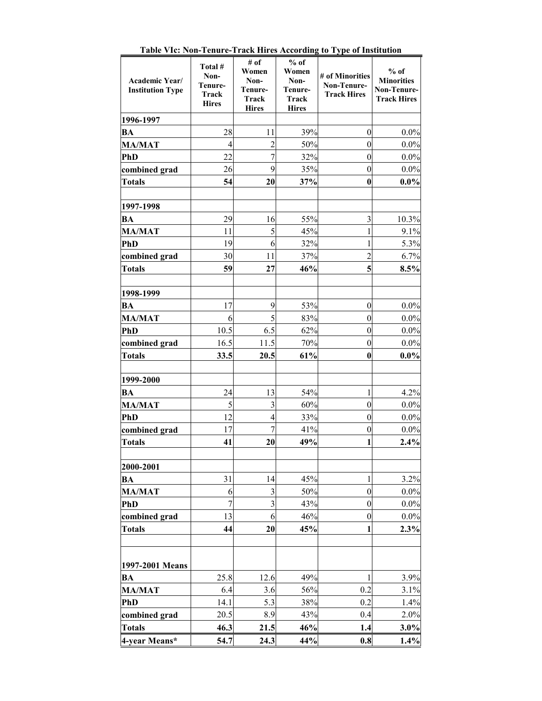| Academic Year/<br><b>Institution Type</b> | Total #<br>Non-<br>Tenure-<br>Track<br><b>Hires</b> | # of<br>Women<br>Non-<br>Tenure-<br>Track<br><b>Hires</b> | $%$ of<br>Women<br>Non-<br>Tenure-<br>Track<br><b>Hires</b> | # of Minorities<br>Non-Tenure-<br><b>Track Hires</b> | $%$ of<br><b>Minorities</b><br>Non-Tenure-<br><b>Track Hires</b> |
|-------------------------------------------|-----------------------------------------------------|-----------------------------------------------------------|-------------------------------------------------------------|------------------------------------------------------|------------------------------------------------------------------|
| 1996-1997                                 |                                                     |                                                           |                                                             |                                                      |                                                                  |
| <b>BA</b>                                 | 28                                                  | 11                                                        | 39%                                                         | $\boldsymbol{0}$                                     | 0.0%                                                             |
| <b>MA/MAT</b>                             | $\overline{4}$                                      | $\overline{2}$                                            | 50%                                                         | $\boldsymbol{0}$                                     | $0.0\%$                                                          |
| <b>PhD</b>                                | 22                                                  | $\overline{7}$                                            | 32%                                                         | $\overline{0}$                                       | $0.0\%$                                                          |
| combined grad                             | 26                                                  | 9                                                         | 35%                                                         | $\overline{0}$                                       | 0.0%                                                             |
| <b>Totals</b>                             | 54                                                  | 20                                                        | 37%                                                         | $\bf{0}$                                             | $0.0\%$                                                          |
|                                           |                                                     |                                                           |                                                             |                                                      |                                                                  |
| 1997-1998                                 |                                                     |                                                           |                                                             |                                                      |                                                                  |
| <b>BA</b>                                 | 29                                                  | 16                                                        | 55%                                                         | 3                                                    | 10.3%                                                            |
| <b>MA/MAT</b>                             | 11                                                  | 5                                                         | 45%                                                         | 1                                                    | 9.1%                                                             |
| <b>PhD</b>                                | 19                                                  | 6                                                         | 32%                                                         | 1                                                    | 5.3%                                                             |
| combined grad                             | 30                                                  | 11                                                        | 37%                                                         | $\overline{2}$                                       | 6.7%                                                             |
| <b>Totals</b>                             | 59                                                  | 27                                                        | 46%                                                         | 5                                                    | 8.5%                                                             |
|                                           |                                                     |                                                           |                                                             |                                                      |                                                                  |
| 1998-1999                                 |                                                     |                                                           |                                                             |                                                      |                                                                  |
| <b>BA</b>                                 | 17                                                  | 9                                                         | 53%                                                         | $\boldsymbol{0}$                                     | $0.0\%$                                                          |
| <b>MA/MAT</b>                             | 6                                                   | 5                                                         | 83%                                                         | $\boldsymbol{0}$                                     | 0.0%                                                             |
| <b>PhD</b>                                | 10.5                                                | 6.5                                                       | 62%                                                         | $\boldsymbol{0}$                                     | $0.0\%$                                                          |
| combined grad                             | 16.5                                                | 11.5                                                      | 70%                                                         | $\overline{0}$                                       | $0.0\%$                                                          |
| <b>Totals</b>                             | 33.5                                                | 20.5                                                      | 61%                                                         | $\boldsymbol{0}$                                     | $0.0\%$                                                          |
| 1999-2000                                 |                                                     |                                                           |                                                             |                                                      |                                                                  |
| <b>BA</b>                                 | 24                                                  | 13                                                        | 54%                                                         | 1                                                    | 4.2%                                                             |
| <b>MA/MAT</b>                             | 5                                                   | $\overline{\mathbf{3}}$                                   | 60%                                                         | $\boldsymbol{0}$                                     | $0.0\%$                                                          |
| <b>PhD</b>                                | 12                                                  | 4                                                         | 33%                                                         | $\overline{0}$                                       | $0.0\%$                                                          |
| combined grad                             | 17                                                  | $\overline{7}$                                            | 41%                                                         | $\boldsymbol{0}$                                     | 0.0%                                                             |
| <b>Totals</b>                             | 41                                                  | 20                                                        | 49%                                                         | 1                                                    | 2.4%                                                             |
|                                           |                                                     |                                                           |                                                             |                                                      |                                                                  |
| 2000-2001                                 |                                                     |                                                           |                                                             |                                                      |                                                                  |
| <b>BA</b>                                 | 31                                                  | 14                                                        | 45%                                                         | 1                                                    | 3.2%                                                             |
| <b>MA/MAT</b>                             | 6                                                   | $\overline{\mathbf{3}}$                                   | 50%                                                         | $\overline{0}$                                       | 0.0%                                                             |
| <b>PhD</b>                                | $\overline{7}$                                      | $\overline{3}$                                            | 43%                                                         | $\boldsymbol{0}$                                     | 0.0%                                                             |
| combined grad                             | 13                                                  | 6                                                         | 46%                                                         | $\boldsymbol{0}$                                     | 0.0%                                                             |
| <b>Totals</b>                             | 44                                                  | 20                                                        | 45%                                                         | 1                                                    | 2.3%                                                             |
|                                           |                                                     |                                                           |                                                             |                                                      |                                                                  |
|                                           |                                                     |                                                           |                                                             |                                                      |                                                                  |
| 1997-2001 Means                           |                                                     |                                                           |                                                             |                                                      |                                                                  |
| <b>BA</b><br><b>MA/MAT</b>                | 25.8                                                | 12.6                                                      | 49%                                                         | 0.2                                                  | 3.9%                                                             |
|                                           | 6.4<br>14.1                                         | 3.6<br>5.3                                                | 56%<br>38%                                                  | 0.2                                                  | 3.1%<br>1.4%                                                     |
| <b>PhD</b><br>combined grad               | 20.5                                                | 8.9                                                       | 43%                                                         | 0.4                                                  | 2.0%                                                             |
| <b>Totals</b>                             | 46.3                                                | 21.5                                                      | 46%                                                         |                                                      | 3.0%                                                             |
| 4-year Means*                             | 54.7                                                | 24.3                                                      | 44%                                                         | 1.4<br>0.8                                           | 1.4%                                                             |

**Table VIc: Non-Tenure-Track Hires According to Type of Institution**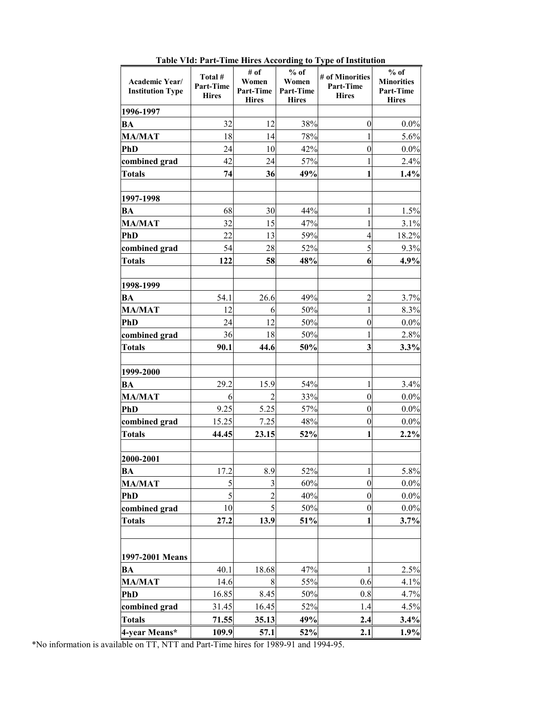| Academic Year/<br><b>Institution Type</b> | Total #<br><b>Part-Time</b><br><b>Hires</b> | # of<br>Women<br>Part-Time<br><b>Hires</b> | $%$ of<br>Women<br>Part-Time<br><b>Hires</b> | # of Minorities<br>Part-Time<br><b>Hires</b> | $%$ of<br><b>Minorities</b><br>Part-Time<br><b>Hires</b> |
|-------------------------------------------|---------------------------------------------|--------------------------------------------|----------------------------------------------|----------------------------------------------|----------------------------------------------------------|
| 1996-1997                                 |                                             |                                            |                                              |                                              |                                                          |
| BA                                        | 32                                          | 12                                         | 38%                                          | $\boldsymbol{0}$                             | $0.0\%$                                                  |
| <b>MA/MAT</b>                             | 18                                          | 14                                         | 78%                                          | 1                                            | 5.6%                                                     |
| PhD                                       | 24                                          | 10                                         | 42%                                          | $\boldsymbol{0}$                             | 0.0%                                                     |
| combined grad                             | 42                                          | 24                                         | 57%                                          | $\mathbf{1}$                                 | 2.4%                                                     |
| <b>Totals</b>                             | 74                                          | 36                                         | 49%                                          | 1                                            | 1.4%                                                     |
|                                           |                                             |                                            |                                              |                                              |                                                          |
| 1997-1998                                 |                                             |                                            |                                              |                                              |                                                          |
| BA                                        | 68                                          | 30                                         | 44%                                          | 1                                            | 1.5%                                                     |
| <b>MA/MAT</b>                             | 32                                          | 15                                         | 47%                                          | 1                                            | 3.1%                                                     |
| <b>PhD</b>                                | 22                                          | 13                                         | 59%                                          | $\overline{4}$                               | 18.2%                                                    |
| combined grad                             | 54                                          | 28                                         | 52%                                          | 5                                            | 9.3%                                                     |
| <b>Totals</b>                             | 122                                         | 58                                         | 48%                                          | 6                                            | 4.9%                                                     |
|                                           |                                             |                                            |                                              |                                              |                                                          |
| 1998-1999                                 |                                             |                                            |                                              |                                              |                                                          |
| BA                                        | 54.1                                        | 26.6                                       | 49%                                          | $\overline{c}$                               | 3.7%                                                     |
| <b>MA/MAT</b>                             | 12                                          | 6                                          | 50%                                          | $\mathbf{1}$                                 | 8.3%                                                     |
| <b>PhD</b>                                | 24                                          | 12                                         | 50%                                          | $\overline{0}$                               | $0.0\%$                                                  |
| combined grad                             | 36                                          | 18                                         | 50%                                          | 1                                            | 2.8%                                                     |
| <b>Totals</b>                             | 90.1                                        | 44.6                                       | 50%                                          | $\overline{\mathbf{3}}$                      | 3.3%                                                     |
|                                           |                                             |                                            |                                              |                                              |                                                          |
| 1999-2000                                 |                                             |                                            |                                              |                                              |                                                          |
| <b>BA</b>                                 | 29.2                                        | 15.9                                       | 54%                                          | $\mathbf{1}$                                 | 3.4%                                                     |
| <b>MA/MAT</b>                             | 6                                           | $\overline{2}$                             | 33%                                          | $\boldsymbol{0}$                             | $0.0\%$                                                  |
| <b>PhD</b>                                | 9.25                                        | 5.25                                       | 57%                                          | $\boldsymbol{0}$                             | 0.0%                                                     |
| combined grad                             | 15.25                                       | 7.25                                       | 48%                                          | $\boldsymbol{0}$                             | 0.0%                                                     |
| <b>Totals</b>                             | 44.45                                       | 23.15                                      | 52%                                          | 1                                            | 2.2%                                                     |
| 2000-2001                                 |                                             |                                            |                                              |                                              |                                                          |
| BA                                        | 17.2                                        | 8.9                                        | 52%                                          | 1                                            | 5.8%                                                     |
| <b>MA/MAT</b>                             | 5                                           | $\mathfrak{Z}$                             | 60%                                          | $\boldsymbol{0}$                             | $0.0\%$                                                  |
| PhD                                       | 5                                           | $\overline{2}$                             | 40%                                          | $\boldsymbol{0}$                             | $0.0\%$                                                  |
| combined grad                             | 10                                          | 5                                          | 50%                                          | $\boldsymbol{0}$                             | $0.0\%$                                                  |
| <b>Totals</b>                             | 27.2                                        | 13.9                                       | 51%                                          | 1                                            | 3.7%                                                     |
|                                           |                                             |                                            |                                              |                                              |                                                          |
|                                           |                                             |                                            |                                              |                                              |                                                          |
| 1997-2001 Means                           |                                             |                                            |                                              |                                              |                                                          |
| BA                                        | 40.1                                        | 18.68                                      | 47%                                          |                                              | 2.5%                                                     |
| <b>MA/MAT</b>                             | 14.6                                        | 8                                          | 55%                                          | 0.6                                          | 4.1%                                                     |
| <b>PhD</b>                                | 16.85                                       | 8.45                                       | 50%                                          | 0.8                                          | 4.7%                                                     |
| combined grad                             | 31.45                                       | 16.45                                      | 52%                                          | 1.4                                          | 4.5%                                                     |
| <b>Totals</b>                             | 71.55                                       | 35.13                                      | 49%                                          | 2.4                                          | 3.4%                                                     |
| 4-year Means*                             | 109.9                                       | 57.1                                       | 52%                                          | 2.1                                          | 1.9%                                                     |

**Table VId: Part-Time Hires According to Type of Institution** 

\*No information is available on TT, NTT and Part-Time hires for 1989-91 and 1994-95.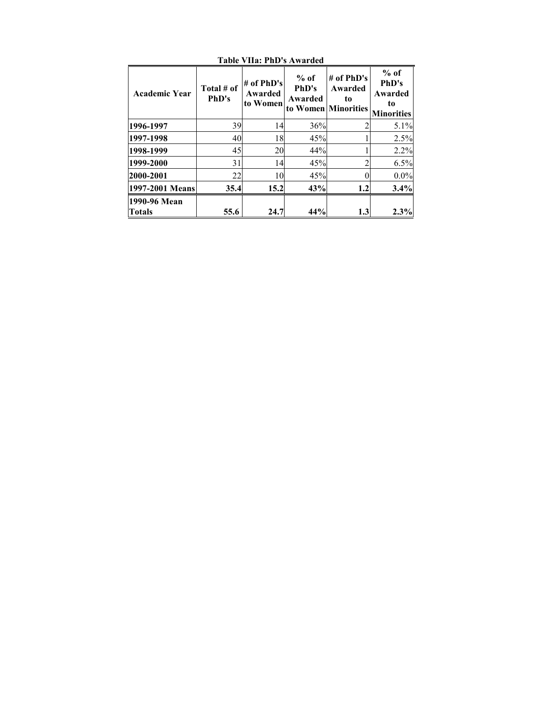| Academic Year                 | Total # of<br>PhD's | # of $PhD's$<br>Awarded<br>to Women | $%$ of<br>PhD's<br>Awarded | $#$ of PhD's<br>Awarded<br>to<br>to Women Minorities | $%$ of<br>PhD's<br>Awarded<br>to<br><b>Minorities</b> |
|-------------------------------|---------------------|-------------------------------------|----------------------------|------------------------------------------------------|-------------------------------------------------------|
| 1996-1997                     | 39                  | 14                                  | 36%                        |                                                      | 5.1%                                                  |
| 1997-1998                     | 40                  | 18                                  | 45%                        |                                                      | 2.5%                                                  |
| 1998-1999                     | 45                  | 20                                  | 44%                        |                                                      | 2.2%                                                  |
| 1999-2000                     | 31                  | 14                                  | 45%                        |                                                      | 6.5%                                                  |
| 2000-2001                     | 22                  | 10                                  | 45%                        |                                                      | 0.0%                                                  |
| 1997-2001 Means               | 35.4                | 15.2                                | 43%                        | 1.2                                                  | 3.4%                                                  |
| 1990-96 Mean<br><b>Totals</b> | 55.6                | 24.7                                | 44%                        | 1.3                                                  | 2.3%                                                  |

**Table VIIa: PhD's Awarded**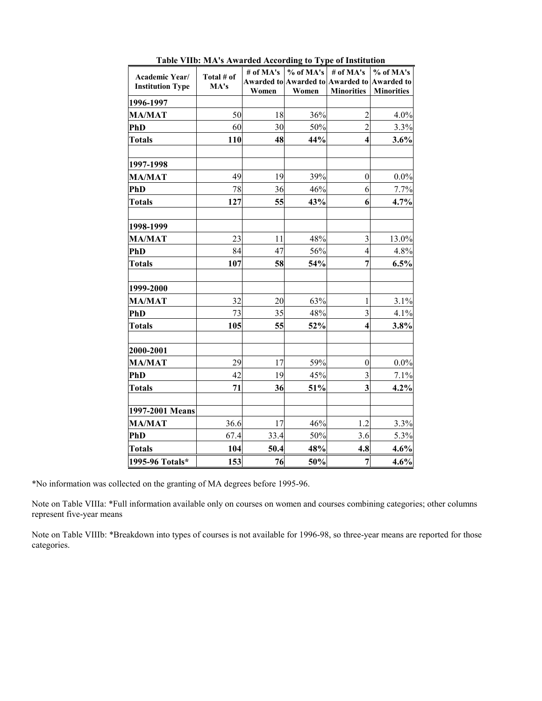| Academic Year/<br><b>Institution Type</b> | Total # of<br>MA's | # of MA's<br>Women | $%$ of MA's<br>Women | # of MA's<br><b>Awarded to Awarded to Awarded to</b><br><b>Minorities</b> | % of MA's<br><b>Awarded to</b><br><b>Minorities</b> |
|-------------------------------------------|--------------------|--------------------|----------------------|---------------------------------------------------------------------------|-----------------------------------------------------|
| 1996-1997                                 |                    |                    |                      |                                                                           |                                                     |
| <b>MA/MAT</b>                             | 50                 | 18                 | 36%                  | $\overline{c}$                                                            | 4.0%                                                |
| PhD                                       | 60                 | 30                 | 50%                  | $\overline{2}$                                                            | 3.3%                                                |
| <b>Totals</b>                             | <b>110</b>         | 48                 | 44%                  | $\overline{\mathbf{4}}$                                                   | 3.6%                                                |
| 1997-1998                                 |                    |                    |                      |                                                                           |                                                     |
| <b>MA/MAT</b>                             | 49                 | 19                 | 39%                  | $\boldsymbol{0}$                                                          | 0.0%                                                |
| PhD                                       | 78                 | 36                 | 46%                  | 6                                                                         | 7.7%                                                |
| <b>Totals</b>                             | 127                | 55                 | 43%                  | 6                                                                         | 4.7%                                                |
| 1998-1999                                 |                    |                    |                      |                                                                           |                                                     |
| <b>MA/MAT</b>                             | 23                 | 11                 | 48%                  | 3                                                                         | 13.0%                                               |
| <b>PhD</b>                                | 84                 | 47                 | 56%                  | $\overline{4}$                                                            | 4.8%                                                |
| <b>Totals</b>                             | 107                | 58                 | 54%                  | $\overline{7}$                                                            | 6.5%                                                |
| 1999-2000                                 |                    |                    |                      |                                                                           |                                                     |
| <b>MA/MAT</b>                             | 32                 | 20                 | 63%                  | $\mathbf{1}$                                                              | 3.1%                                                |
| PhD                                       | 73                 | 35                 | 48%                  | $\overline{3}$                                                            | 4.1%                                                |
| <b>Totals</b>                             | 105                | 55                 | 52%                  | $\overline{\mathbf{4}}$                                                   | 3.8%                                                |
| 2000-2001                                 |                    |                    |                      |                                                                           |                                                     |
| <b>MA/MAT</b>                             | 29                 | 17                 | 59%                  | $\boldsymbol{0}$                                                          | 0.0%                                                |
| PhD                                       | 42                 | 19                 | 45%                  | $\overline{3}$                                                            | 7.1%                                                |
| <b>Totals</b>                             | 71                 | 36                 | 51%                  | $\overline{\mathbf{3}}$                                                   | 4.2%                                                |
| 1997-2001 Means                           |                    |                    |                      |                                                                           |                                                     |
| <b>MA/MAT</b>                             | 36.6               | 17                 | 46%                  | 1.2                                                                       | 3.3%                                                |
| PhD                                       | 67.4               | 33.4               | 50%                  | 3.6                                                                       | 5.3%                                                |
| <b>Totals</b>                             | 104                | 50.4               | 48%                  | 4.8                                                                       | 4.6%                                                |
| 1995-96 Totals*                           | 153                | 76                 | 50%                  | $\overline{7}$                                                            | 4.6%                                                |

**Table VIIb: MA's Awarded According to Type of Institution** 

\*No information was collected on the granting of MA degrees before 1995-96.

Note on Table VIIIa: \*Full information available only on courses on women and courses combining categories; other columns represent five-year means

Note on Table VIIIb: \*Breakdown into types of courses is not available for 1996-98, so three-year means are reported for those categories.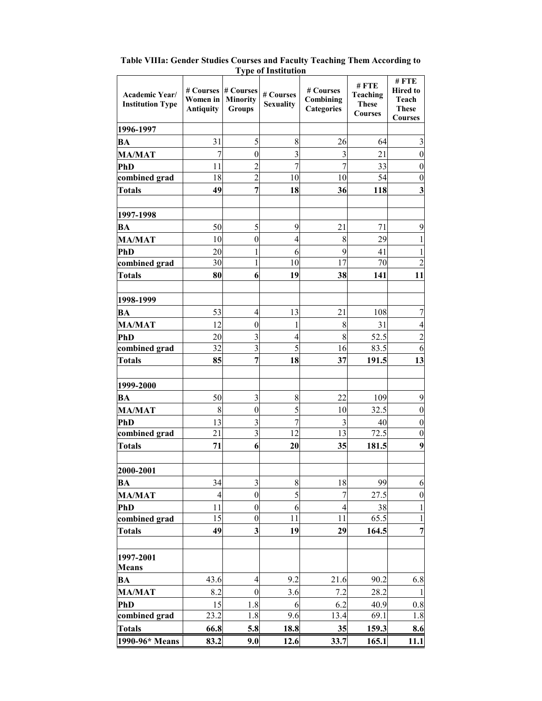|                                           |                                           |                                               | 1 year oo maddanaan           |                                             |                                                           |                                                                    |
|-------------------------------------------|-------------------------------------------|-----------------------------------------------|-------------------------------|---------------------------------------------|-----------------------------------------------------------|--------------------------------------------------------------------|
| Academic Year/<br><b>Institution Type</b> | # Courses<br>Women in<br><b>Antiquity</b> | # Courses<br><b>Minority</b><br><b>Groups</b> | # Courses<br><b>Sexuality</b> | # Courses<br>Combining<br><b>Categories</b> | #FTE<br><b>Teaching</b><br><b>These</b><br><b>Courses</b> | #FTE<br><b>Hired to</b><br>Teach<br><b>These</b><br><b>Courses</b> |
| 1996-1997                                 |                                           |                                               |                               |                                             |                                                           |                                                                    |
| <b>BA</b>                                 | 31                                        | 5                                             | 8                             | 26                                          | 64                                                        | $\mathfrak{Z}$                                                     |
| <b>MA/MAT</b>                             | 7                                         | $\boldsymbol{0}$                              | 3                             | 3                                           | 21                                                        | $\boldsymbol{0}$                                                   |
| PhD                                       | 11                                        | $\overline{2}$                                | 7                             | $\overline{7}$                              | 33                                                        | $\boldsymbol{0}$                                                   |
| combined grad                             | 18                                        | $\overline{2}$                                | 10                            | 10                                          | 54                                                        | $\boldsymbol{0}$                                                   |
| <b>Totals</b>                             | 49                                        | $\overline{7}$                                | 18                            | 36                                          | 118                                                       | $\overline{\mathbf{3}}$                                            |
|                                           |                                           |                                               |                               |                                             |                                                           |                                                                    |
| 1997-1998                                 |                                           |                                               |                               |                                             |                                                           |                                                                    |
| <b>BA</b>                                 | 50                                        | 5                                             | 9                             | 21                                          | 71                                                        | 9                                                                  |
| <b>MA/MAT</b>                             | 10                                        | $\boldsymbol{0}$                              | $\overline{4}$                | 8                                           | 29                                                        |                                                                    |
| <b>PhD</b>                                | 20                                        | $\mathbf{1}$                                  | 6                             | 9                                           | 41                                                        | 1                                                                  |
| combined grad                             | 30                                        | $\mathbf{1}$                                  | 10                            | 17                                          | 70                                                        | $\overline{2}$                                                     |
| <b>Totals</b>                             | 80                                        | 6                                             | 19                            | 38                                          | 141                                                       | 11                                                                 |
|                                           |                                           |                                               |                               |                                             |                                                           |                                                                    |
| 1998-1999                                 |                                           |                                               |                               |                                             |                                                           |                                                                    |
| <b>BA</b>                                 | 53                                        | $\overline{4}$                                | 13                            | 21                                          | 108                                                       | 7                                                                  |
| <b>MA/MAT</b>                             | 12                                        | $\boldsymbol{0}$                              | 1                             | 8                                           | 31                                                        | 4                                                                  |
| PhD<br>combined grad                      | 20<br>32                                  | 3<br>$\overline{3}$                           | 4<br>$\overline{5}$           | 8<br>16                                     | 52.5<br>83.5                                              | $\overline{2}$<br>6                                                |
| <b>Totals</b>                             | 85                                        | $\overline{7}$                                | 18                            | 37                                          | 191.5                                                     | 13                                                                 |
|                                           |                                           |                                               |                               |                                             |                                                           |                                                                    |
| 1999-2000                                 |                                           |                                               |                               |                                             |                                                           |                                                                    |
| <b>BA</b>                                 | 50                                        | $\mathfrak{Z}$                                | 8                             | 22                                          | 109                                                       | 9                                                                  |
| <b>MA/MAT</b>                             | 8                                         | $\boldsymbol{0}$                              | 5                             | 10                                          | 32.5                                                      | $\boldsymbol{0}$                                                   |
| <b>PhD</b>                                | 13                                        | 3                                             | 7                             | $\overline{\mathbf{3}}$                     | 40                                                        | $\boldsymbol{0}$                                                   |
| combined grad                             | 21                                        | 3                                             | 12                            | 13                                          | 72.5                                                      | $\boldsymbol{0}$                                                   |
| <b>Totals</b>                             | 71                                        | 6                                             | 20                            | 35                                          | 181.5                                                     | 9                                                                  |
|                                           |                                           |                                               |                               |                                             |                                                           |                                                                    |
| 2000-2001                                 |                                           |                                               |                               |                                             |                                                           |                                                                    |
| <b>BA</b>                                 | 34                                        | $\mathfrak{Z}$                                | 8                             | 18                                          | 99                                                        | 6                                                                  |
| <b>MA/MAT</b>                             | $\overline{4}$                            | $\boldsymbol{0}$                              | 5                             | 7                                           | 27.5                                                      | $\boldsymbol{0}$                                                   |
| PhD                                       | 11                                        | $\boldsymbol{0}$                              | 6                             | 4                                           | 38                                                        | 1                                                                  |
| combined grad                             | 15                                        | $\boldsymbol{0}$                              | 11                            | 11                                          | 65.5                                                      | 1                                                                  |
| <b>Totals</b>                             | 49                                        | 3                                             | 19                            | 29                                          | 164.5                                                     | 7                                                                  |
|                                           |                                           |                                               |                               |                                             |                                                           |                                                                    |
| 1997-2001                                 |                                           |                                               |                               |                                             |                                                           |                                                                    |
| <b>Means</b>                              |                                           |                                               |                               |                                             |                                                           |                                                                    |
| <b>BA</b>                                 | 43.6                                      | $\overline{4}$                                | 9.2                           | 21.6                                        | 90.2                                                      | 6.8                                                                |
| <b>MA/MAT</b>                             | 8.2                                       | $\boldsymbol{0}$                              | 3.6                           | 7.2                                         | 28.2                                                      | $\mathbf{1}$                                                       |
| <b>PhD</b>                                | 15                                        | 1.8                                           | 6                             | 6.2                                         | 40.9                                                      | 0.8                                                                |
| combined grad                             | 23.2                                      | 1.8                                           | 9.6                           | 13.4                                        | 69.1                                                      | 1.8                                                                |
| <b>Totals</b>                             | 66.8                                      | 5.8                                           | 18.8                          | 35                                          | 159.3                                                     | 8.6                                                                |
| 1990-96* Means                            | 83.2                                      | 9.0                                           | 12.6                          | 33.7                                        | 165.1                                                     | 11.1                                                               |

**Table VIIIa: Gender Studies Courses and Faculty Teaching Them According to Type of Institution**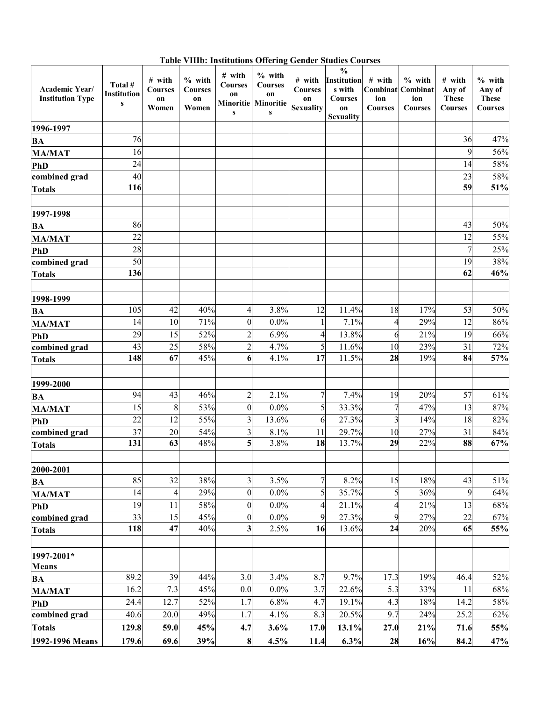| Academic Year/<br><b>Institution Type</b> | Total #<br><b>Institution</b><br>${\bf S}$ | # with<br><b>Courses</b><br>on<br>Women | $%$ with<br><b>Courses</b><br>on<br>Women | # with<br><b>Courses</b><br>on<br>$\mathbf{s}$ | $%$ with<br><b>Courses</b><br>on<br>Minoritie Minoritie<br>${\bf S}$ | overall plan<br># with<br><b>Courses</b><br>on<br><b>Sexuality</b> | və Courses<br>$\frac{0}{0}$<br><b>Institution</b><br>s with<br><b>Courses</b><br>on<br><b>Sexuality</b> | # with<br>ion<br><b>Courses</b> | $%$ with<br><b>Combinat</b> Combinat<br>ion<br><b>Courses</b> | # with<br>Any of<br><b>These</b><br>Courses | $%$ with<br>Any of<br><b>These</b><br><b>Courses</b> |
|-------------------------------------------|--------------------------------------------|-----------------------------------------|-------------------------------------------|------------------------------------------------|----------------------------------------------------------------------|--------------------------------------------------------------------|---------------------------------------------------------------------------------------------------------|---------------------------------|---------------------------------------------------------------|---------------------------------------------|------------------------------------------------------|
| 1996-1997                                 |                                            |                                         |                                           |                                                |                                                                      |                                                                    |                                                                                                         |                                 |                                                               |                                             |                                                      |
| BA                                        | 76                                         |                                         |                                           |                                                |                                                                      |                                                                    |                                                                                                         |                                 |                                                               | 36                                          | 47%                                                  |
| <b>MA/MAT</b>                             | 16                                         |                                         |                                           |                                                |                                                                      |                                                                    |                                                                                                         |                                 |                                                               | 9                                           | 56%                                                  |
| PhD                                       | 24                                         |                                         |                                           |                                                |                                                                      |                                                                    |                                                                                                         |                                 |                                                               | 14                                          | 58%                                                  |
| combined grad                             | 40                                         |                                         |                                           |                                                |                                                                      |                                                                    |                                                                                                         |                                 |                                                               | 23                                          | 58%                                                  |
| <b>Totals</b>                             | 116                                        |                                         |                                           |                                                |                                                                      |                                                                    |                                                                                                         |                                 |                                                               | 59                                          | 51%                                                  |
|                                           |                                            |                                         |                                           |                                                |                                                                      |                                                                    |                                                                                                         |                                 |                                                               |                                             |                                                      |
| 1997-1998                                 |                                            |                                         |                                           |                                                |                                                                      |                                                                    |                                                                                                         |                                 |                                                               |                                             |                                                      |
| BA                                        | 86                                         |                                         |                                           |                                                |                                                                      |                                                                    |                                                                                                         |                                 |                                                               | 43                                          | 50%                                                  |
| <b>MA/MAT</b>                             | 22                                         |                                         |                                           |                                                |                                                                      |                                                                    |                                                                                                         |                                 |                                                               | 12                                          | 55%                                                  |
| PhD                                       | 28                                         |                                         |                                           |                                                |                                                                      |                                                                    |                                                                                                         |                                 |                                                               | $\overline{7}$                              | 25%                                                  |
| combined grad                             | 50                                         |                                         |                                           |                                                |                                                                      |                                                                    |                                                                                                         |                                 |                                                               | 19                                          | 38%                                                  |
| <b>Totals</b>                             | 136                                        |                                         |                                           |                                                |                                                                      |                                                                    |                                                                                                         |                                 |                                                               | 62                                          | $\frac{1}{46\%}$                                     |
|                                           |                                            |                                         |                                           |                                                |                                                                      |                                                                    |                                                                                                         |                                 |                                                               |                                             |                                                      |
| 1998-1999                                 | 105                                        | 42                                      | 40%                                       | $\overline{4}$                                 | 3.8%                                                                 | 12                                                                 | 11.4%                                                                                                   | 18                              | 17%                                                           | 53                                          | 50%                                                  |
| <b>BA</b><br><b>MA/MAT</b>                | 14                                         | 10                                      | 71%                                       | $\boldsymbol{0}$                               | $0.0\%$                                                              | 1                                                                  | 7.1%                                                                                                    | 4                               | 29%                                                           | 12                                          | 86%                                                  |
| PhD                                       | 29                                         | 15                                      | 52%                                       | $\overline{c}$                                 | 6.9%                                                                 | 4                                                                  | 13.8%                                                                                                   | 6                               | 21%                                                           | 19                                          | 66%                                                  |
| combined grad                             | 43                                         | 25                                      | 58%                                       | $\overline{c}$                                 | 4.7%                                                                 | 5                                                                  | 11.6%                                                                                                   | 10                              | 23%                                                           | 31                                          | 72%                                                  |
| <b>Totals</b>                             | 148                                        | 67                                      | 45%                                       | $6\phantom{1}$                                 | 4.1%                                                                 | 17                                                                 | 11.5%                                                                                                   | 28                              | 19%                                                           | 84                                          | 57%                                                  |
|                                           |                                            |                                         |                                           |                                                |                                                                      |                                                                    |                                                                                                         |                                 |                                                               |                                             |                                                      |
| 1999-2000                                 |                                            |                                         |                                           |                                                |                                                                      |                                                                    |                                                                                                         |                                 |                                                               |                                             |                                                      |
| <b>BA</b>                                 | 94                                         | 43                                      | 46%                                       | $\overline{c}$                                 | 2.1%                                                                 | 7                                                                  | 7.4%                                                                                                    | 19                              | 20%                                                           | 57                                          | 61%                                                  |
| <b>MA/MAT</b>                             | 15                                         | 8                                       | 53%                                       | $\boldsymbol{0}$                               | $0.0\%$                                                              | 5                                                                  | 33.3%                                                                                                   |                                 | 47%                                                           | 13                                          | 87%                                                  |
| PhD                                       | 22                                         | 12                                      | 55%                                       | $\overline{\mathbf{3}}$                        | 13.6%                                                                | 6                                                                  | 27.3%                                                                                                   | 3                               | 14%                                                           | 18                                          | 82%                                                  |
| combined grad                             | $\overline{37}$                            | 20                                      | 54%                                       | $\overline{\mathbf{3}}$                        | 8.1%                                                                 | 11                                                                 | 29.7%                                                                                                   | 10                              | 27%                                                           | 31                                          | 84%                                                  |
| <b>Totals</b>                             | 131                                        | 63                                      | 48%                                       | 5                                              | 3.8%                                                                 | 18                                                                 | 13.7%                                                                                                   | 29                              | 22%                                                           | 88                                          | 67%                                                  |
|                                           |                                            |                                         |                                           |                                                |                                                                      |                                                                    |                                                                                                         |                                 |                                                               |                                             |                                                      |
| 2000-2001                                 |                                            |                                         |                                           |                                                |                                                                      |                                                                    |                                                                                                         |                                 |                                                               |                                             |                                                      |
| <b>BA</b>                                 | 85                                         | 32                                      | 38%                                       | $\overline{\mathbf{3}}$                        | 3.5%                                                                 | $\overline{7}$                                                     | 8.2%                                                                                                    | 15                              | 18%                                                           | 43                                          | 51%                                                  |
| <b>MA/MAT</b>                             | 14                                         | $\overline{\mathcal{A}}$                | 29%                                       | $\boldsymbol{0}$                               | $0.0\%$                                                              | 5                                                                  | 35.7%                                                                                                   | 5 <sub>l</sub>                  | 36%                                                           | 9                                           | 64%                                                  |
| <b>PhD</b>                                | 19                                         | 11                                      | 58%                                       | $\boldsymbol{0}$                               | $0.0\%$                                                              | 4                                                                  | 21.1%                                                                                                   | 4                               | 21%                                                           | 13                                          | 68%                                                  |
| combined grad                             | 33                                         | 15                                      | 45%                                       | $\boldsymbol{0}$                               | $0.0\%$                                                              | 9                                                                  | 27.3%                                                                                                   | 9                               | 27%                                                           | 22                                          | 67%                                                  |
| <b>Totals</b>                             | 118                                        | 47                                      | 40%                                       | $\mathbf{3}$                                   | 2.5%                                                                 | 16                                                                 | 13.6%                                                                                                   | 24                              | 20%                                                           | 65                                          | 55%                                                  |
| 1997-2001*<br><b>Means</b>                |                                            |                                         |                                           |                                                |                                                                      |                                                                    |                                                                                                         |                                 |                                                               |                                             |                                                      |
| BA                                        | 89.2                                       | 39                                      | 44%                                       | 3.0                                            | 3.4%                                                                 | 8.7                                                                | 9.7%                                                                                                    | 17.3                            | 19%                                                           | 46.4                                        | 52%                                                  |
| <b>MA/MAT</b>                             | 16.2                                       | 7.3                                     | 45%                                       | 0.0                                            | $0.0\%$                                                              | 3.7                                                                | 22.6%                                                                                                   | 5.3                             | 33%                                                           | 11                                          | 68%                                                  |
| <b>PhD</b>                                | 24.4                                       | 12.7                                    | 52%                                       | 1.7                                            | 6.8%                                                                 | 4.7                                                                | 19.1%                                                                                                   | 4.3                             | 18%                                                           | 14.2                                        | 58%                                                  |
| combined grad                             | 40.6                                       | 20.0                                    | 49%                                       | 1.7                                            | 4.1%                                                                 | 8.3                                                                | 20.5%                                                                                                   | 9.7                             | 24%                                                           | 25.2                                        | 62%                                                  |
| <b>Totals</b>                             | 129.8                                      | 59.0                                    | 45%                                       | 4.7                                            | 3.6%                                                                 | 17.0                                                               | 13.1%                                                                                                   | 27.0                            | 21%                                                           | 71.6                                        | 55%                                                  |
| 1992-1996 Means                           | 179.6                                      | 69.6                                    | 39%                                       | 8                                              | 4.5%                                                                 | 11.4                                                               | 6.3%                                                                                                    | 28                              | 16%                                                           | 84.2                                        | 47%                                                  |

**Table VIIIb: Institutions Offering Gender Studies Courses**